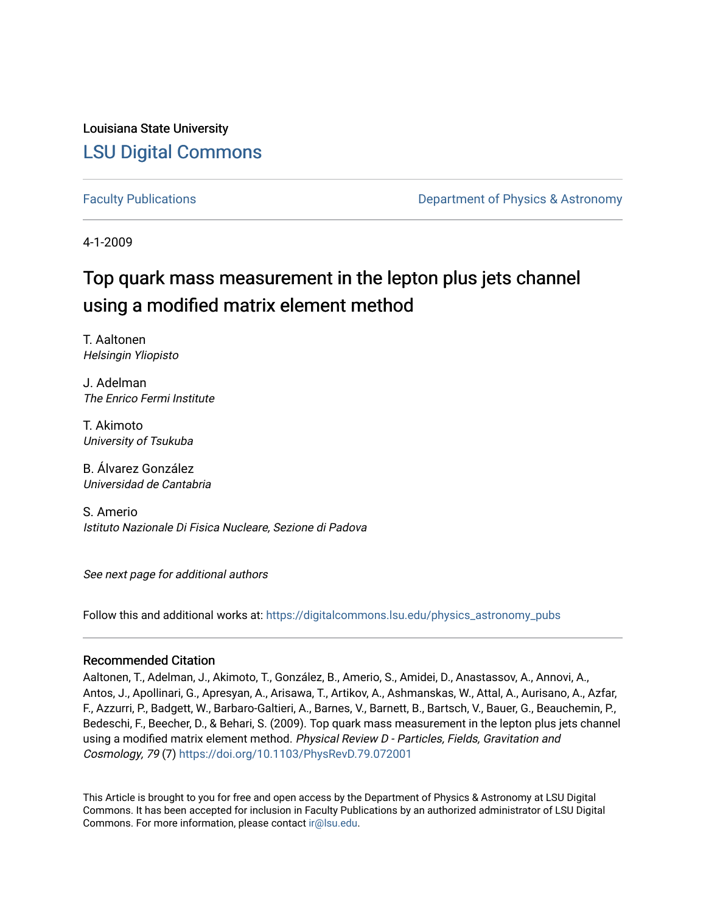Louisiana State University [LSU Digital Commons](https://digitalcommons.lsu.edu/)

[Faculty Publications](https://digitalcommons.lsu.edu/physics_astronomy_pubs) **Example 2** Constant Department of Physics & Astronomy

4-1-2009

# Top quark mass measurement in the lepton plus jets channel using a modified matrix element method

T. Aaltonen Helsingin Yliopisto

J. Adelman The Enrico Fermi Institute

T. Akimoto University of Tsukuba

B. Álvarez González Universidad de Cantabria

S. Amerio Istituto Nazionale Di Fisica Nucleare, Sezione di Padova

See next page for additional authors

Follow this and additional works at: [https://digitalcommons.lsu.edu/physics\\_astronomy\\_pubs](https://digitalcommons.lsu.edu/physics_astronomy_pubs?utm_source=digitalcommons.lsu.edu%2Fphysics_astronomy_pubs%2F2467&utm_medium=PDF&utm_campaign=PDFCoverPages) 

# Recommended Citation

Aaltonen, T., Adelman, J., Akimoto, T., González, B., Amerio, S., Amidei, D., Anastassov, A., Annovi, A., Antos, J., Apollinari, G., Apresyan, A., Arisawa, T., Artikov, A., Ashmanskas, W., Attal, A., Aurisano, A., Azfar, F., Azzurri, P., Badgett, W., Barbaro-Galtieri, A., Barnes, V., Barnett, B., Bartsch, V., Bauer, G., Beauchemin, P., Bedeschi, F., Beecher, D., & Behari, S. (2009). Top quark mass measurement in the lepton plus jets channel using a modified matrix element method. Physical Review D - Particles, Fields, Gravitation and Cosmology, 79 (7)<https://doi.org/10.1103/PhysRevD.79.072001>

This Article is brought to you for free and open access by the Department of Physics & Astronomy at LSU Digital Commons. It has been accepted for inclusion in Faculty Publications by an authorized administrator of LSU Digital Commons. For more information, please contact [ir@lsu.edu](mailto:ir@lsu.edu).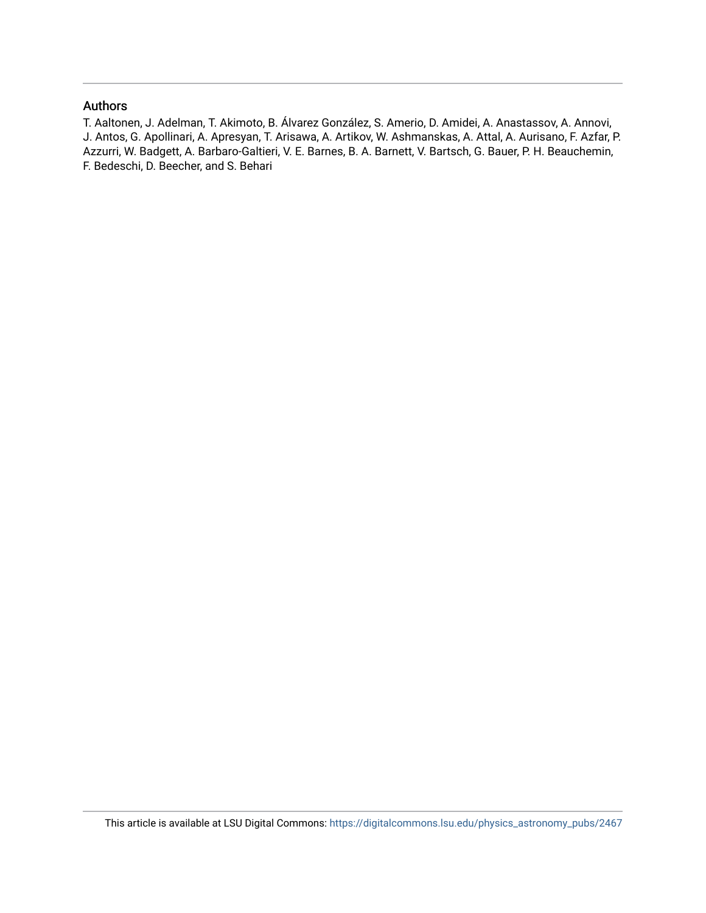## Authors

T. Aaltonen, J. Adelman, T. Akimoto, B. Álvarez González, S. Amerio, D. Amidei, A. Anastassov, A. Annovi, J. Antos, G. Apollinari, A. Apresyan, T. Arisawa, A. Artikov, W. Ashmanskas, A. Attal, A. Aurisano, F. Azfar, P. Azzurri, W. Badgett, A. Barbaro-Galtieri, V. E. Barnes, B. A. Barnett, V. Bartsch, G. Bauer, P. H. Beauchemin, F. Bedeschi, D. Beecher, and S. Behari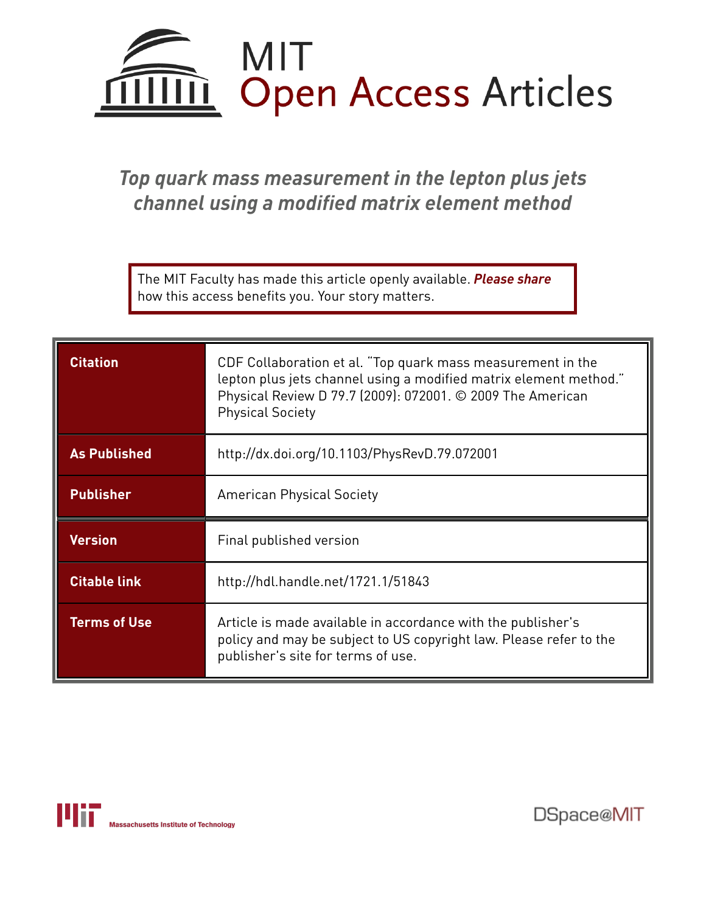

*Top quark mass measurement in the lepton plus jets channel using a modified matrix element method*

The MIT Faculty has made this article openly available. *[Please](https://libraries.mit.edu/forms/dspace-oa-articles.html) share* how this access benefits you. Your story matters.

| <b>Citation</b>     | CDF Collaboration et al. "Top quark mass measurement in the<br>lepton plus jets channel using a modified matrix element method."<br>Physical Review D 79.7 (2009): 072001. © 2009 The American<br><b>Physical Society</b> |  |
|---------------------|---------------------------------------------------------------------------------------------------------------------------------------------------------------------------------------------------------------------------|--|
| <b>As Published</b> | http://dx.doi.org/10.1103/PhysRevD.79.072001                                                                                                                                                                              |  |
| <b>Publisher</b>    | <b>American Physical Society</b>                                                                                                                                                                                          |  |
| <b>Version</b>      | Final published version                                                                                                                                                                                                   |  |
| <b>Citable link</b> | http://hdl.handle.net/1721.1/51843                                                                                                                                                                                        |  |
| <b>Terms of Use</b> | Article is made available in accordance with the publisher's<br>policy and may be subject to US copyright law. Please refer to the<br>publisher's site for terms of use.                                                  |  |



DSpace@MIT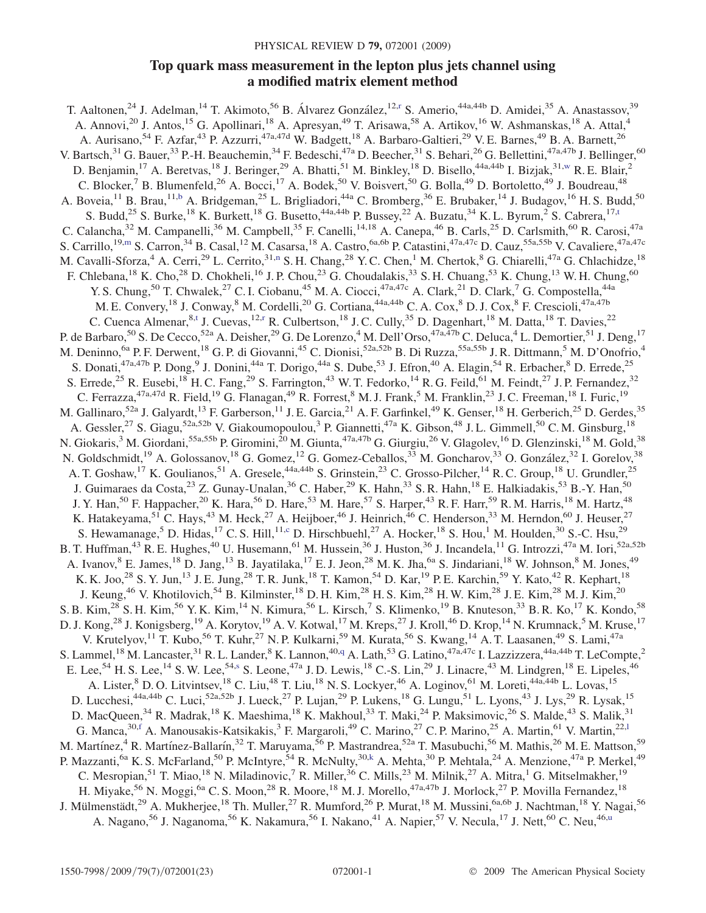# Top quark mass measurement in the lepton plus jets channel using a modified matrix element method

<span id="page-3-0"></span>T. Aaltonen,<sup>24</sup> J. Adelman,<sup>14</sup> T. Akimoto,<sup>56</sup> B. Álva[r](#page-5-0)ez González,<sup>12,r</sup> S. Amerio,<sup>44a,44b</sup> D. Amidei,<sup>35</sup> A. Anastassov,<sup>39</sup> A. Annovi,<sup>20</sup> J. Antos,<sup>15</sup> G. Apollinari,<sup>18</sup> A. Apresyan,<sup>49</sup> T. Arisawa,<sup>58</sup> A. Artikov,<sup>16</sup> W. Ashmanskas,<sup>18</sup> A. Attal,<sup>4</sup> A. Aurisano,<sup>54</sup> F. Azfar,<sup>43</sup> P. Azzurri,<sup>47a,47d</sup> W. Badgett,<sup>18</sup> A. Barbaro-Galtieri,<sup>29</sup> V. E. Barnes,<sup>49</sup> B. A. Barnett,<sup>26</sup> V. Bartsch, $^{31}$  G. Bauer, $^{33}$  P.-H. Beauchemin, $^{34}$  F. Bedeschi, $^{47a}$  D. Beecher, $^{31}$  S. Behari, $^{26}$  G. Bellettini, $^{47a,47b}$  J. Bellinger, $^{60}$ D. Benjamin,<sup>17</sup> A. Beretvas,<sup>18</sup> J. Beringer,<sup>29</sup> A. Bhatti,<sup>51</sup> M. Binkley,<sup>18</sup> D. Bisello,<sup>44a,44b</sup> I. Bizjak,<sup>31[,w](#page-5-0)</sup> R. E. Blair,<sup>2</sup> C. Blocker,  $\overline{7}$  B. Blumenfeld,  $2^6$  A. Bocci,  $17$  A. Bodek,  $50$  V. Boisvert,  $50$  G. Bolla,  $49$  D. Bortoletto,  $49$  J. Boudreau,  $48$ A. Boveia,<sup>11</sup> B. Brau,<sup>11[,b](#page-5-0)</sup> A. Bridgeman,<sup>25</sup> L. Brigliadori,<sup>44a</sup> C. Bromberg,<sup>36</sup> E. Brubaker,<sup>14</sup> J. Budagov,<sup>16</sup> H. S. Budd,<sup>50</sup> S. Budd,<sup>25</sup> S. Burke,<sup>18</sup> K. Burke[t](#page-5-0)t,<sup>18</sup> G. Busetto,<sup>44a,44b</sup> P. Bussey,<sup>22</sup> A. Buzatu,<sup>34</sup> K. L. Byrum,<sup>2</sup> S. Cabrera,<sup>17,t</sup> C. Calancha,<sup>32</sup> M. Campanelli,<sup>36</sup> M. Campbell,<sup>35</sup> F. Canelli,<sup>14,18</sup> A. Canepa,<sup>46</sup> B. Carls,<sup>25</sup> D. Carlsmith,<sup>60</sup> R. Carosi,<sup>47a</sup> S. Carrillo,<sup>19,[m](#page-5-0)</sup> S. Carron,<sup>34</sup> B. Casal,<sup>12</sup> M. Casarsa,<sup>18</sup> A. Castro,<sup>6a,6b</sup> P. Catastini,<sup>47a,47c</sup> D. Cauz,<sup>55a,55b</sup> V. Cavaliere,<sup>47a,47c</sup> M. Cavalli-Sforza,<sup>4</sup> A. Cerri,<sup>29</sup> L. Cerrito,<sup>31[,n](#page-5-0)</sup> S. H. Chang,<sup>28</sup> Y. C. Chen,<sup>1</sup> M. Chertok,<sup>8</sup> G. Chiarelli,<sup>47a</sup> G. Chlachidze,<sup>18</sup> F. Chlebana,<sup>18</sup> K. Cho,<sup>28</sup> D. Chokheli,<sup>16</sup> J. P. Chou,<sup>23</sup> G. Choudalakis,<sup>33</sup> S. H. Chuang,<sup>53</sup> K. Chung,<sup>13</sup> W. H. Chung,<sup>60</sup> Y. S. Chung,<sup>50</sup> T. Chwalek,<sup>27</sup> C. I. Ciobanu,<sup>45</sup> M. A. Ciocci,<sup>47a,47c</sup> A. Clark,<sup>21</sup> D. Clark,<sup>7</sup> G. Compostella,<sup>44a</sup> M. E. Convery,<sup>18</sup> J. Conway,<sup>8</sup> M. Cordelli,<sup>20</sup> G. Cortiana,<sup>44a,44b</sup> C. A. Cox,<sup>8</sup> D. J. Cox,<sup>8</sup> F. Crescioli,<sup>47a,47b</sup> C. Cuenca Almenar, <sup>8,[t](#page-5-0)</sup> J. Cuevas, <sup>12[,r](#page-5-0)</sup> R. Culbertson, <sup>18</sup> J. C. Cully, <sup>35</sup> D. Dagenhart, <sup>18</sup> M. Datta, <sup>18</sup> T. Davies, <sup>22</sup> P. de Barbaro,<sup>50</sup> S. De Cecco,<sup>52a</sup> A. Deisher,<sup>29</sup> G. De Lorenzo,<sup>4</sup> M. Dell'Orso,<sup>47a,47b</sup> C. Deluca,<sup>4</sup> L. Demortier,<sup>51</sup> J. Deng,<sup>17</sup> M. Deninno, <sup>6a</sup> P. F. Derwent, <sup>18</sup> G. P. di Giovanni, <sup>45</sup> C. Dionisi, <sup>52a, 52b</sup> B. Di Ruzza, <sup>55a, 55b</sup> J. R. Dittmann, <sup>5</sup> M. D'Onofrio, <sup>4</sup> S. Donati,<sup>47a,47b</sup> P. Dong,<sup>9</sup> J. Donini,<sup>44a</sup> T. Dorigo,<sup>44a</sup> S. Dube,<sup>53</sup> J. Efron,<sup>40</sup> A. Elagin,<sup>54</sup> R. Erbacher,<sup>8</sup> D. Errede,<sup>25</sup> S. Errede,<sup>25</sup> R. Eusebi,<sup>18</sup> H. C. Fang,<sup>29</sup> S. Farrington,<sup>43</sup> W. T. Fedorko,<sup>14</sup> R. G. Feild,<sup>61</sup> M. Feindt,<sup>27</sup> J. P. Fernandez,<sup>32</sup> C. Ferrazza, <sup>47a,47d</sup> R. Field, <sup>19</sup> G. Flanagan, <sup>49</sup> R. Forrest, <sup>8</sup> M. J. Frank, <sup>5</sup> M. Franklin, <sup>23</sup> J. C. Freeman, <sup>18</sup> I. Furic, <sup>19</sup> M. Gallinaro,<sup>52a</sup> J. Galyardt,<sup>13</sup> F. Garberson,<sup>11</sup> J. E. Garcia,<sup>21</sup> A. F. Garfinkel,<sup>49</sup> K. Genser,<sup>18</sup> H. Gerberich,<sup>25</sup> D. Gerdes,<sup>35</sup> A. Gessler,<sup>27</sup> S. Giagu,<sup>52a,52b</sup> V. Giakoumopoulou,<sup>3</sup> P. Giannetti,<sup>47a</sup> K. Gibson,<sup>48</sup> J. L. Gimmell,<sup>50</sup> C. M. Ginsburg,<sup>18</sup> N. Giokaris,<sup>3</sup> M. Giordani,<sup>55a,55b</sup> P. Giromini,<sup>20</sup> M. Giunta,<sup>47a,47b</sup> G. Giurgiu,<sup>26</sup> V. Glagolev,<sup>16</sup> D. Glenzinski,<sup>18</sup> M. Gold,<sup>38</sup> N. Goldschmidt,<sup>19</sup> A. Golossanov,<sup>18</sup> G. Gomez,<sup>12</sup> G. Gomez-Ceballos,<sup>33</sup> M. Goncharov,<sup>33</sup> O. González,<sup>32</sup> I. Gorelov,<sup>38</sup> A. T. Goshaw,<sup>17</sup> K. Goulianos,<sup>51</sup> A. Gresele,<sup>44a,44b</sup> S. Grinstein,<sup>23</sup> C. Grosso-Pilcher,<sup>14</sup> R. C. Group,<sup>18</sup> U. Grundler,<sup>25</sup> J. Guimaraes da Costa,<sup>23</sup> Z. Gunay-Unalan,<sup>36</sup> C. Haber,<sup>29</sup> K. Hahn,<sup>33</sup> S. R. Hahn,<sup>18</sup> E. Halkiadakis,<sup>53</sup> B.-Y. Han,<sup>50</sup> J. Y. Han,<sup>50</sup> F. Happacher,<sup>20</sup> K. Hara,<sup>56</sup> D. Hare,<sup>53</sup> M. Hare,<sup>57</sup> S. Harper,<sup>43</sup> R. F. Harr,<sup>59</sup> R. M. Harris,<sup>18</sup> M. Hartz,<sup>48</sup> K. Hatakeyama,<sup>51</sup> C. Hays,<sup>43</sup> M. Heck,<sup>27</sup> A. Heijboer,<sup>46</sup> J. Heinrich,<sup>46</sup> C. Henderson,<sup>33</sup> M. Herndon,<sup>60</sup> J. Heuser,<sup>27</sup> S. Hewamanage,<sup>5</sup> D. Hidas,<sup>17</sup> C. S. Hill,<sup>11,[c](#page-5-0)</sup> D. Hirschbuehl,<sup>27</sup> A. Hocker,<sup>18</sup> S. Hou,<sup>1</sup> M. Houlden,<sup>30</sup> S.-C. Hsu,<sup>29</sup> B. T. Huffman,<sup>43</sup> R. E. Hughes,<sup>40</sup> U. Husemann,<sup>61</sup> M. Hussein,<sup>36</sup> J. Huston,<sup>36</sup> J. Incandela,<sup>11</sup> G. Introzzi,<sup>47a</sup> M. Iori,<sup>52a,52b</sup> A. Ivanov, <sup>8</sup> E. James, <sup>18</sup> D. Jang, <sup>13</sup> B. Jayatilaka, <sup>17</sup> E. J. Jeon, <sup>28</sup> M. K. Jha, <sup>6a</sup> S. Jindariani, <sup>18</sup> W. Johnson, <sup>8</sup> M. Jones, <sup>49</sup> K. K. Joo,<sup>28</sup> S. Y. Jun,<sup>13</sup> J. E. Jung,<sup>28</sup> T. R. Junk,<sup>18</sup> T. Kamon,<sup>54</sup> D. Kar,<sup>19</sup> P. E. Karchin,<sup>59</sup> Y. Kato,<sup>42</sup> R. Kephart,<sup>18</sup> J. Keung,<sup>46</sup> V. Khotilovich,<sup>54</sup> B. Kilminster,<sup>18</sup> D. H. Kim,<sup>28</sup> H. S. Kim,<sup>28</sup> H. W. Kim,<sup>28</sup> J. E. Kim,<sup>28</sup> M. J. Kim,<sup>20</sup> S. B. Kim,<sup>28</sup> S. H. Kim,<sup>56</sup> Y. K. Kim,<sup>14</sup> N. Kimura,<sup>56</sup> L. Kirsch,<sup>7</sup> S. Klimenko,<sup>19</sup> B. Knuteson,<sup>33</sup> B. R. Ko,<sup>17</sup> K. Kondo,<sup>58</sup> D. J. Kong,<sup>28</sup> J. Konigsberg,<sup>19</sup> A. Korytov,<sup>19</sup> A. V. Kotwal,<sup>17</sup> M. Kreps,<sup>27</sup> J. Kroll,<sup>46</sup> D. Krop,<sup>14</sup> N. Krumnack,<sup>5</sup> M. Kruse,<sup>17</sup> V. Krutelyov,<sup>11</sup> T. Kubo,<sup>56</sup> T. Kuhr,<sup>27</sup> N. P. Kulkarni,<sup>59</sup> M. Kurata,<sup>56</sup> S. Kwang,<sup>14</sup> A. T. Laasanen,<sup>49</sup> S. Lami,<sup>47a</sup> S. Lammel,<sup>18</sup> M. Lancaster,<sup>31</sup> R. L. Lander,<sup>8</sup> K. Lannon,<sup>40[,q](#page-5-0)</sup> A. Lath,<sup>53</sup> G. Latino,<sup>47a,47c</sup> I. Lazzizzera,<sup>44a,44b</sup> T. LeCompte,<sup>2</sup> E. Lee,<[s](#page-5-0)up>54</sup> H. S. Lee,<sup>14</sup> S. W. Lee,<sup>54,s</sup> S. Leone,<sup>47a</sup> J. D. Lewis,<sup>18</sup> C.-S. Lin,<sup>29</sup> J. Linacre,<sup>43</sup> M. Lindgren,<sup>18</sup> E. Lipeles,<sup>46</sup> A. Lister, <sup>8</sup> D. O. Litvintsev, <sup>18</sup> C. Liu, <sup>48</sup> T. Liu, <sup>18</sup> N. S. Lockyer, <sup>46</sup> A. Loginov, <sup>61</sup> M. Loreti, <sup>44a,44b</sup> L. Lovas, <sup>15</sup> D. Lucchesi,  $44a,44b$  C. Luci,  $52a,52b$  J. Lueck,  $27$  P. Lujan,  $29$  P. Lukens,  $18$  G. Lungu,  $51$  L. Lyons,  $43$  J. Lys,  $29$  R. Lysak,  $15$ D. MacQueen,<sup>34</sup> R. Madrak,<sup>18</sup> K. Maeshima,<sup>18</sup> K. Makhoul,<sup>33</sup> T. Maki,<sup>24</sup> P. Maksimovic,<sup>26</sup> S. Malde,<sup>43</sup> S. Malik,<sup>31</sup> G. Manca,<sup>30[,f](#page-5-0)</sup> A. Manousakis-Katsikakis,<sup>3</sup> F. Margaro[l](#page-5-0)i,<sup>49</sup> C. Marino,<sup>27</sup> C. P. Marino,<sup>25</sup> A. Martin,<sup>61</sup> V. Martin,<sup>22,1</sup> M. Martínez,<sup>4</sup> R. Martínez-Ballarín,<sup>32</sup> T. Maruyama,<sup>56</sup> P. Mastrandrea,<sup>52a</sup> T. Masubuchi,<sup>56</sup> M. Mathis,<sup>26</sup> M. E. Mattson,<sup>59</sup> P. Mazzanti,<sup>6a</sup> K. S. McFarland,<sup>50</sup> P. McIntyre,<sup>54</sup> R. McNulty,<sup>30[,k](#page-5-0)</sup> A. Mehta,<sup>30</sup> P. Mehtala,<sup>24</sup> A. Menzione,<sup>47a</sup> P. Merkel,<sup>49</sup> C. Mesropian,<sup>51</sup> T. Miao,<sup>18</sup> N. Miladinovic,<sup>7</sup> R. Miller,<sup>36</sup> C. Mills,<sup>23</sup> M. Milnik,<sup>27</sup> A. Mitra,<sup>1</sup> G. Mitselmakher,<sup>19</sup> H. Miyake,<sup>56</sup> N. Moggi,<sup>6a</sup> C. S. Moon,<sup>28</sup> R. Moore,<sup>18</sup> M. J. Morello,<sup>47a,47b</sup> J. Morlock,<sup>27</sup> P. Movilla Fernandez,<sup>18</sup> J. Mülmenstädt,<sup>29</sup> A. Mukherjee,<sup>18</sup> Th. Muller,<sup>27</sup> R. Mumford,<sup>26</sup> P. Murat,<sup>18</sup> M. Mussini,<sup>6a,6b</sup> J. Nachtman,<sup>18</sup> Y. Nagai,<sup>56</sup> A. Nagano,<sup>56</sup> J. Naganoma,<sup>56</sup> K. Nakamura,<sup>56</sup> I. Nakano,<sup>41</sup> A. Napier,<sup>57</sup> V. Necula,<sup>17</sup> J. Nett,<sup>60</sup> C. Neu,<sup>46[,u](#page-5-0)</sup>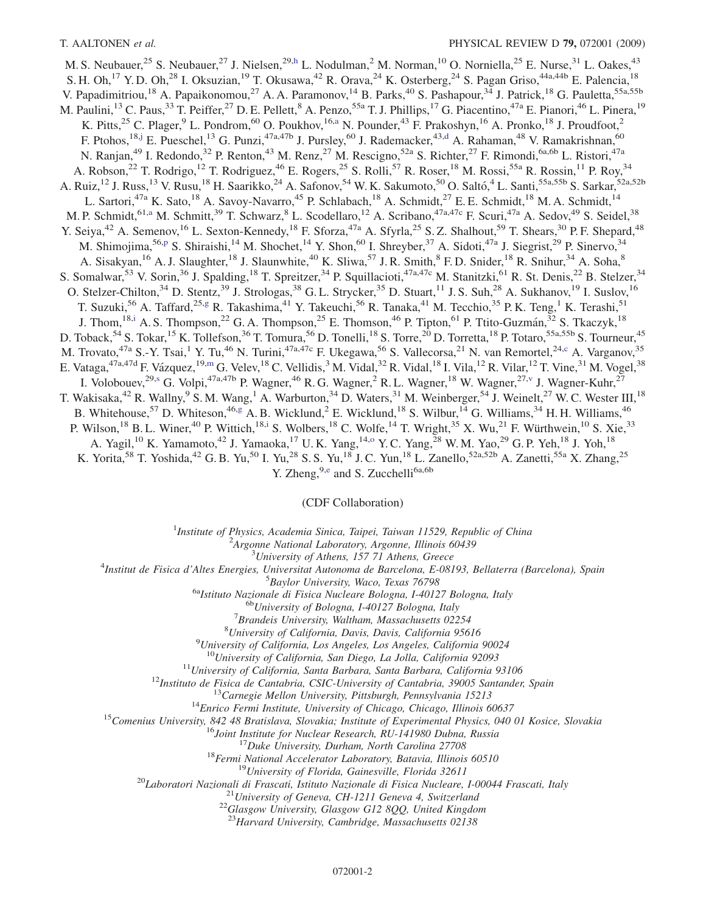<span id="page-4-0"></span>M. S. Neubauer,<sup>25</sup> S. Neubauer,<sup>27</sup> J. Nielsen,<sup>29,[h](#page-5-0)</sup> L. Nodulman,<sup>2</sup> M. Norman,<sup>10</sup> O. Norniella,<sup>25</sup> E. Nurse,<sup>31</sup> L. Oakes,<sup>43</sup> S. H. Oh,<sup>17</sup> Y. D. Oh,<sup>28</sup> I. Oksuzian,<sup>19</sup> T. Okusawa,<sup>42</sup> R. Orava,<sup>24</sup> K. Osterberg,<sup>24</sup> S. Pagan Griso,<sup>44a,44b</sup> E. Palencia,<sup>18</sup> V. Papadimitriou,<sup>18</sup> A. Papaikonomou,<sup>27</sup> A. A. Paramonov,<sup>14</sup> B. Parks,<sup>40</sup> S. Pashapour,<sup>34</sup> J. Patrick,<sup>18</sup> G. Pauletta,<sup>55a,55b</sup> M. Paulini,<sup>13</sup> C. Paus,<sup>33</sup> T. Peiffer,<sup>27</sup> D. E. Pellett,<sup>8</sup> A. Penzo,<sup>55a</sup> T. J. Phillips,<sup>17</sup> G. Piacentino,<sup>47a</sup> E. Pianori,<sup>46</sup> L. Pinera,<sup>19</sup> K. Pitts,<sup>25</sup> C. Plager,<sup>9</sup> L. Pondrom,<sup>60</sup> O. Poukhov,<sup>16[,a](#page-5-0)</sup> N. Pounder,<sup>43</sup> F. Prakoshyn,<sup>16</sup> A. Pronko,<sup>18</sup> J. Proudfoot,<sup>2</sup> F. Ptohos,<sup>18,[j](#page-5-0)</sup> E. Pueschel,<sup>13</sup> G. Punzi,<sup>47a,47b</sup> J. Pursley,<sup>60</sup> J. Ra[d](#page-5-0)emacker,<sup>43,d</sup> A. Rahaman,<sup>48</sup> V. Ramakrishnan,<sup>60</sup> N. Ranjan,<sup>49</sup> I. Redondo,<sup>32</sup> P. Renton,<sup>43</sup> M. Renz,<sup>27</sup> M. Rescigno,<sup>52a</sup> S. Richter,<sup>27</sup> F. Rimondi,<sup>6a,6b</sup> L. Ristori,<sup>47a</sup> A. Robson,<sup>22</sup> T. Rodrigo,<sup>12</sup> T. Rodriguez,<sup>46</sup> E. Rogers,<sup>25</sup> S. Rolli,<sup>57</sup> R. Roser,<sup>18</sup> M. Rossi,<sup>55a</sup> R. Rossin,<sup>11</sup> P. Roy,<sup>34</sup> A. Ruiz,<sup>12</sup> J. Russ,<sup>13</sup> V. Rusu,<sup>18</sup> H. Saarikko,<sup>24</sup> A. Safonov,<sup>54</sup> W. K. Sakumoto,<sup>50</sup> O. Saltó,<sup>4</sup> L. Santi,<sup>55a,55b</sup> S. Sarkar,<sup>52a,52b</sup> L. Sartori,<sup>47a</sup> K. Sato,<sup>18</sup> A. Savoy-Navarro,<sup>45</sup> P. Schlabach,<sup>18</sup> A. Schmidt,<sup>27</sup> E. E. Schmidt,<sup>18</sup> M. A. Schmidt,<sup>14</sup> M. P. Schmidt,<sup>61,[a](#page-5-0)</sup> M. Schmitt,<sup>39</sup> T. Schwarz,<sup>8</sup> L. Scodellaro,<sup>12</sup> A. Scribano,<sup>47a,47c</sup> F. Scuri,<sup>47a</sup> A. Sedov,<sup>49</sup> S. Seidel,<sup>38</sup> Y. Seiya,<sup>42</sup> A. Semenov,<sup>16</sup> L. Sexton-Kennedy,<sup>18</sup> F. Sforza,<sup>47a</sup> A. Sfyrla,<sup>25</sup> S. Z. Shalhout,<sup>59</sup> T. Shears,<sup>30</sup> P. F. Shepard,<sup>48</sup> M. Shimojima,<su[p](#page-5-0)>56,p</sup> S. Shiraishi,<sup>14</sup> M. Shochet,<sup>14</sup> Y. Shon,<sup>60</sup> I. Shreyber,<sup>37</sup> A. Sidoti,<sup>47a</sup> J. Siegrist,<sup>29</sup> P. Sinervo,<sup>34</sup> A. Sisakyan,<sup>16</sup> A. J. Slaughter,<sup>18</sup> J. Slaunwhite,<sup>40</sup> K. Sliwa,<sup>57</sup> J. R. Smith,<sup>8</sup> F. D. Snider,<sup>18</sup> R. Snihur,<sup>34</sup> A. Soha,<sup>8</sup> S. Somalwar,<sup>53</sup> V. Sorin,<sup>36</sup> J. Spalding,<sup>18</sup> T. Spreitzer,<sup>34</sup> P. Squillacioti,<sup>47a,47c</sup> M. Stanitzki,<sup>61</sup> R. St. Denis,<sup>22</sup> B. Stelzer,<sup>34</sup> O. Stelzer-Chilton,<sup>34</sup> D. Stentz,<sup>39</sup> J. Strologas,<sup>38</sup> G. L. Strycker,<sup>35</sup> D. Stuart,<sup>11</sup> J. S. Suh,<sup>28</sup> A. Sukhanov,<sup>19</sup> I. Suslov,<sup>16</sup> T. Suzuki,<sup>56</sup> A. Taffard,<sup>25,[g](#page-5-0)</sup> R. Takashima,<sup>41</sup> Y. Takeuchi,<sup>56</sup> R. Tanaka,<sup>41</sup> M. Tecchio,<sup>35</sup> P. K. Teng,<sup>1</sup> K. Terashi,<sup>51</sup> J. Thom,<sup>18,[i](#page-5-0)</sup> A. S. Thompson,<sup>22</sup> G. A. Thompson,<sup>25</sup> E. Thomson,<sup>46</sup> P. Tipton,<sup>61</sup> P. Ttito-Guzmán,<sup>32</sup> S. Tkaczyk,<sup>18</sup> D. Toback,<sup>54</sup> S. Tokar,<sup>15</sup> K. Tollefson,<sup>36</sup> T. Tomura,<sup>56</sup> D. Tonelli,<sup>18</sup> S. Torre,<sup>20</sup> D. Torretta,<sup>18</sup> P. Totaro,<sup>55a,55b</sup> S. Tourneur,<sup>45</sup> M. Trovato,<sup>47a</sup> S.-Y. Tsai,<sup>1</sup> Y. Tu,<sup>46</sup> N. Turini,<sup>47a,47c</sup> F. Ukegawa,<sup>56</sup> S. Vallecorsa,<sup>21</sup> N. van Remortel,<sup>24[,c](#page-5-0)</sup> A. Varganov,<sup>35</sup> E. Vataga,<sup>47a,47d</sup> F. Vázquez,<sup>19[,m](#page-5-0)</sup> G. Velev,<sup>18</sup> C. Vellidis,<sup>3</sup> M. Vidal,<sup>32</sup> R. Vidal,<sup>18</sup> I. Vila,<sup>12</sup> R. Vilar,<sup>12</sup> T. Vine,<sup>31</sup> M. Vogel,<sup>38</sup> I. Volobouev,<[s](#page-5-0)up>29,s</sup> G. Volpi,<sup>47a,47b</sup> P. Wagner,<sup>46</sup> R. G. Wagner,<sup>2</sup> R. L. Wagner,<sup>18</sup> W. Wagner,<sup>27[,v](#page-5-0)</sup> J. Wagner-Kuhr,<sup>27</sup> T. Wakisaka,<sup>42</sup> R. Wallny,<sup>9</sup> S. M. Wang,<sup>1</sup> A. Warburton,<sup>34</sup> D. Waters,<sup>31</sup> M. Weinberger,<sup>54</sup> J. Weinelt,<sup>27</sup> W. C. Wester III,<sup>18</sup> B. Whitehouse,<sup>57</sup> D. Whiteson,<sup>46[,g](#page-5-0)</sup> A. B. Wicklund,<sup>2</sup> E. Wicklund,<sup>18</sup> S. Wilbur,<sup>14</sup> G. Williams,<sup>34</sup> H. H. Williams,<sup>46</sup> P. Wilson,<sup>18</sup> B. L. Winer,<sup>40</sup> P. Wittich,<sup>18[,i](#page-5-0)</sup> S. Wolbers,<sup>18</sup> C. Wolfe,<sup>14</sup> T. Wright,<sup>35</sup> X. Wu,<sup>21</sup> F. Würthwein,<sup>10</sup> S. Xie,<sup>33</sup> A. Yagil,<sup>10</sup> K. Yamamoto,<sup>42</sup> J. Yamaoka,<sup>17</sup> U.K. Yang,<sup>14,0</sup> Y.C. Yang,<sup>28</sup> W.M. Yao,<sup>29</sup> G.P. Yeh,<sup>18</sup> J. Yoh,<sup>18</sup> K. Yorita,<sup>58</sup> T. Yoshida,<sup>42</sup> G. B. Yu,<sup>50</sup> I. Yu,<sup>28</sup> S. S. Yu,<sup>18</sup> J. C. Yun,<sup>18</sup> L. Zanello,<sup>52a,52b</sup> A. Zanetti,<sup>55a</sup> X. Zhang,<sup>25</sup>

Y. Zh[e](#page-5-0)ng,  $9,e$  and S. Zucchelli<sup>6a,6b</sup>

### (CDF Collaboration)

<sup>1</sup>Institute of Physics, Academia Sinica, Taipei, Taiwan 11529, Republic of China<br><sup>2</sup>Argonne National Laboratory Argonne, Illinois 60430

 $A$ rgonne National Laboratory, Argonne, Illinois 60439<br> $B$ University of Athens, 157 71 Athens, Greece

<sup>3</sup>University of Athens, 157 71 Athens, Greece  $\frac{4}{3}$  University of Athens, 157 71 Athens, Greece

Institut de Fisica d'Altes Energies, Universitat Autonoma de Barcelona, E-08193, Bellaterra (Barcelona), Spain<br><sup>5</sup> Baylor University, Wace, Texas 76798

 $^{5}$ Baylor University, Waco, Texas 76798<br><sup>6a</sup>Istituto Nazionale di Fisica Nucleare Bologna, I-40127 Bologna, Italy <sup>6b</sup>University of Bologna, I-40127 Bologna, Italy

 ${}^{7}$ Brandeis University, Waltham, Massachusetts 02254

 ${}^{8}$ University of California, Davis, Davis, California 95616

<sup>9</sup>University of California, Los Angeles, Los Angeles, California 90024<sup>10</sup>University of California, San Diego, La Jolla, California 92093

 $\begin{array}{r} \text{^{10}University of California, San Diego, La Jolla, California 92093} \\ \text{^{11}University of California, Santa Barbara, Santa Barbara, California 93106} \\ \text{^{12}Instituto de Fisica de Cantabria, CSLC-University of Cantabria, 39005 Santander, Spain \\ \text{^{13}Camegie Mellon University, Pittsburgh, Pennsylvania 15213} \\ \text{^{14}Enrico Fermi Institute, University of Chicago, Illinois 60637} \\ \text{^{15}Comenius University, 842 48 Bratislava, Slovakia; Institute of Experimental Physics, 040 01 Kosice, Slovakia \\ \text{^{15}Joint Institute for Nuclear Research, RU-141980$ 

<sup>23</sup>Harvard University, Cambridge, Massachusetts 02138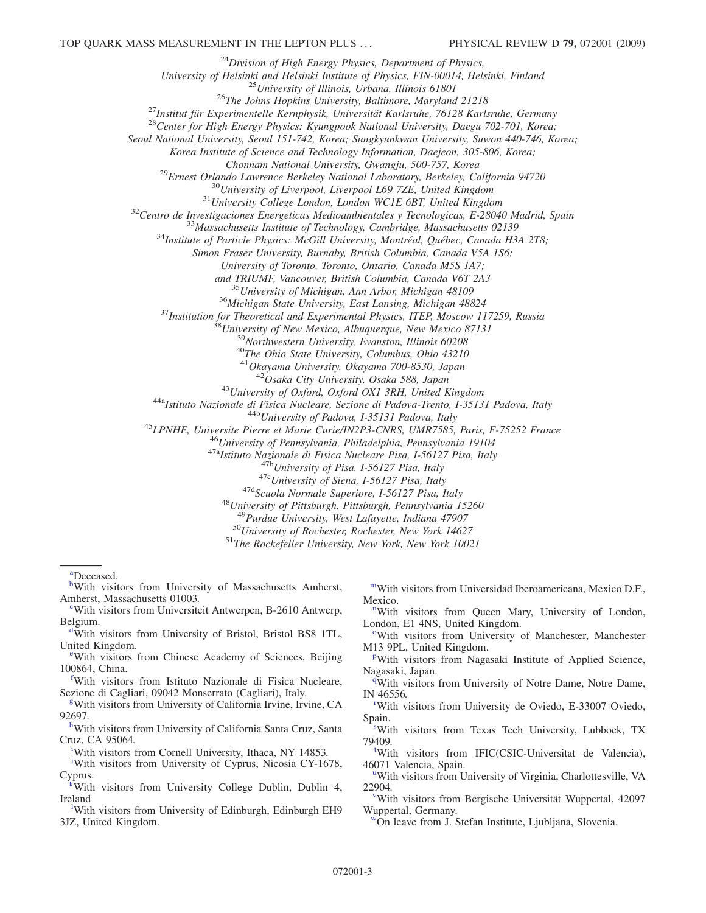$^{24}$ Division of High Energy Physics, Department of Physics,

<span id="page-5-0"></span>University of Helsinki and Helsinki Institute of Physics, FIN-00014, Helsinki, Finland<sup>25</sup>University of Illinois, Urbana, Illinois 61801<br><sup>25</sup>The Johns Hopkins University, Baltimore, Maryland 21218<br><sup>27</sup>Institut für Experime

Seoul National University, Seoul 151-742, Korea; Sungkyunkwan University, Suwon 440-746, Korea;

Korea Institute of Science and Technology Information, Daejeon, 305-806, Korea;

Chonnam National University, Gwangju, 500-757, Korea<br><sup>29</sup>Ernest Orlando Lawrence Berkeley National Laboratory, Berkeley, California 94720<br><sup>30</sup>University of Liverpool, Liverpool L69 7ZE, United Kingdom<br><sup>31</sup>University Colleg

Simon Fraser University, Burnaby, British Columbia, Canada V5A 1S6;

University of Toronto, Toronto, Ontario, Canada M5S 1A7;

<sup>35</sup> University of Michigan, Ann Arbor, Michigan 48109<br><sup>36</sup> Michigan State University, East Lansing, Michigan 48824<br><sup>37</sup> Institution for Theoretical and Experimental Physics, ITEP, Moscow 117259, Russia<br><sup>38</sup> University of

 $^{41}O$ kayama University, Okayama 700-8530, Japan<br> $^{42}O$ saka City University, Osaka 588, Japan

<sup>42</sup>Osaka City University, Osaka 588, Japan<br><sup>43</sup>University of Oxford, Oxford OX1 3RH, United Kingdom<br><sup>44a</sup>Istituto Nazionale di Fisica Nucleare, Sezione di Padova-Trento, 1-35131 Padova, Italy<br><sup>44b</sup>University of Padova, 1

<sup>49</sup>Purdue University, West Lafayette, Indiana 47907<br><sup>50</sup>University of Rochester, Rochester, New York 14627<br><sup>51</sup>The Rockefeller University, New York, New York 10021

<sup>[a](#page-4-0)</sup>Deceased.

**[b](#page-3-0)With visitors from University of Massachusetts Amherst,** Amherst, Massachusetts 01003.

<sup>[c](#page-3-0)</sup>With visitors from Universiteit Antwerpen, B-2610 Antwerp, Belgium.

- [d](#page-4-0) With visitors from University of Bristol, Bristol BS8 1TL, United Kingdom.
- [e](#page-4-0) With visitors from Chinese Academy of Sciences, Beijing 100864, China.

[f](#page-3-0) With visitors from Istituto Nazionale di Fisica Nucleare, Sezione di Cagliari, 09042 Monserrato (Cagliari), Italy.

[g](#page-4-0) With visitors from University of California Irvine, Irvine, CA 92697.

<sup>[h](#page-4-0)</sup>With visitors from University of California Santa Cruz, Santa Cruz, CA 95064.

[i](#page-4-0) With visitors from Cornell University, Ithaca, NY 14853.

[j](#page-4-0) With visitors from University of Cyprus, Nicosia CY-1678, Cyprus.

[k](#page-3-0) With visitors from University College Dublin, Dublin 4, Ireland

<sup>1</sup>With visitors from University of Edinburgh, Edinburgh EH9 3JZ, United Kingdom.

[mW](#page-3-0)ith visitors from Universidad Iberoamericana, Mexico D.F., Mexico.

<sup>[n](#page-3-0)</sup>With visitors from Queen Mary, University of London, London, E1 4NS, United Kingdom.

<sup>[o](#page-4-0)</sup>With visitors from University of Manchester, Manchester M13 9PL, United Kingdom.

<su[p](#page-4-0)>p</sup>With visitors from Nagasaki Institute of Applied Science, Nagasaki, Japan.

<sup>[q](#page-3-0)</sup>With visitors from University of Notre Dame, Notre Dame, IN 46556.

[r](#page-3-0) With visitors from University de Oviedo, E-33007 Oviedo, Spain.

[s](#page-3-0) With visitors from Texas Tech University, Lubbock, TX 79409.

[t](#page-3-0) With visitors from IFIC(CSIC-Universitat de Valencia), 46071 Valencia, Spain.

<s[u](#page-3-0)p>u</sup>With visitors from University of Virginia, Charlottesville, VA 22904.

[v](#page-4-0)With visitors from Bergische Universität Wuppertal, 42097 Wuppertal, Germany.

[wO](#page-3-0)n leave from J. Stefan Institute, Ljubljana, Slovenia.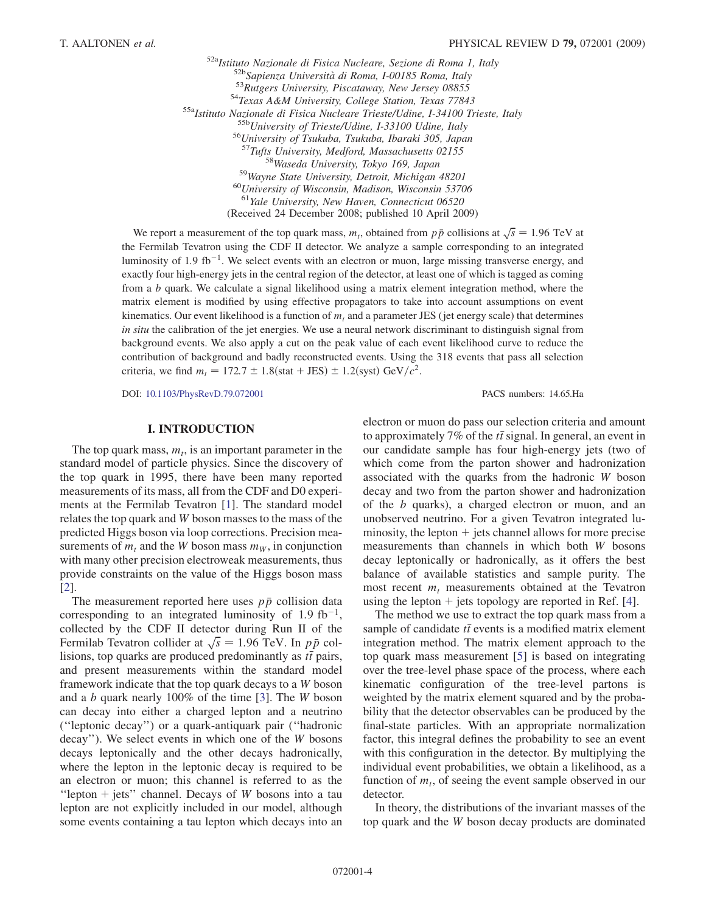<sup>52a</sup>*Istituto Nazionale di Fisica Nucleare, Sezione di Roma 1, Italy*<br><sup>52b</sup>*Sapienza Università di Roma, I-00185 Roma, Italy*<br><sup>53</sup>*Rutgers University, Piscataway, New Jersey 08855*<br><sup>54</sup>*Texas A&M University, College Stat* <sup>58</sup>Waseda University, Tokyo 169, Japan<br><sup>59</sup>Wayne State University, Detroit, Michigan 48201<br><sup>60</sup>University of Wisconsin, Madison, Wisconsin 53706 <sup>61</sup>Yale University, New Haven, Connecticut 06520 (Received 24 December 2008; published 10 April 2009)

We report a measurement of the top quark mass,  $m_t$ , obtained from  $p\bar{p}$  collisions at  $\sqrt{s} = 1.96$  TeV at the Fermilab Tevatron using the CDF II detector. We analyze a sample corresponding to an integrated luminosity of 1.9 fb<sup>-1</sup>. We select events with an electron or muon, large missing transverse energy, and exactly four high-energy jets in the central region of the detector, at least one of which is tagged as coming from a  $b$  quark. We calculate a signal likelihood using a matrix element integration method, where the matrix element is modified by using effective propagators to take into account assumptions on event kinematics. Our event likelihood is a function of  $m_t$  and a parameter JES (jet energy scale) that determines in situ the calibration of the jet energies. We use a neural network discriminant to distinguish signal from background events. We also apply a cut on the peak value of each event likelihood curve to reduce the contribution of background and badly reconstructed events. Using the 318 events that pass all selection criteria, we find  $m_t = 172.7 \pm 1.8$  (stat + JES)  $\pm$  1.2 (syst) GeV/ $c^2$ .

DOI: [10.1103/PhysRevD.79.072001](http://dx.doi.org/10.1103/PhysRevD.79.072001) PACS numbers: 14.65.Ha

### I. INTRODUCTION

The top quark mass,  $m_t$ , is an important parameter in the standard model of particle physics. Since the discovery of the top quark in 1995, there have been many reported measurements of its mass, all from the CDF and D0 experiments at the Fermilab Tevatron [[1\]](#page-24-0). The standard model relates the top quark and W boson masses to the mass of the predicted Higgs boson via loop corrections. Precision measurements of  $m_t$  and the W boson mass  $m_W$ , in conjunction with many other precision electroweak measurements, thus provide constraints on the value of the Higgs boson mass [\[2\]](#page-24-0).

The measurement reported here uses  $p\bar{p}$  collision data corresponding to an integrated luminosity of 1.9 fb<sup>-1</sup>, collected by the CDF II detector during Run II of the Fermilab Tevatron collider at  $\sqrt{s} = 1.96$  TeV. In  $p\bar{p}$  collisions, top quarks are produced predominantly as  $t\bar{t}$  pairs, and present measurements within the standard model framework indicate that the top quark decays to a W boson and a  $b$  quark nearly 100% of the time [\[3](#page-24-0)]. The  $W$  boson can decay into either a charged lepton and a neutrino (''leptonic decay'') or a quark-antiquark pair (''hadronic decay''). We select events in which one of the W bosons decays leptonically and the other decays hadronically, where the lepton in the leptonic decay is required to be an electron or muon; this channel is referred to as the "lepton  $+$  jets" channel. Decays of W bosons into a tau lepton are not explicitly included in our model, although some events containing a tau lepton which decays into an electron or muon do pass our selection criteria and amount to approximately 7% of the  $t\bar{t}$  signal. In general, an event in our candidate sample has four high-energy jets (two of which come from the parton shower and hadronization associated with the quarks from the hadronic W boson decay and two from the parton shower and hadronization of the b quarks), a charged electron or muon, and an unobserved neutrino. For a given Tevatron integrated luminosity, the lepton  $+$  jets channel allows for more precise measurements than channels in which both W bosons decay leptonically or hadronically, as it offers the best balance of available statistics and sample purity. The most recent  $m_t$  measurements obtained at the Tevatron using the lepton  $+$  jets topology are reported in Ref. [\[4\]](#page-24-0).

The method we use to extract the top quark mass from a sample of candidate  $t\bar{t}$  events is a modified matrix element integration method. The matrix element approach to the top quark mass measurement [[5\]](#page-24-0) is based on integrating over the tree-level phase space of the process, where each kinematic configuration of the tree-level partons is weighted by the matrix element squared and by the probability that the detector observables can be produced by the final-state particles. With an appropriate normalization factor, this integral defines the probability to see an event with this configuration in the detector. By multiplying the individual event probabilities, we obtain a likelihood, as a function of  $m_t$ , of seeing the event sample observed in our detector.

In theory, the distributions of the invariant masses of the top quark and the W boson decay products are dominated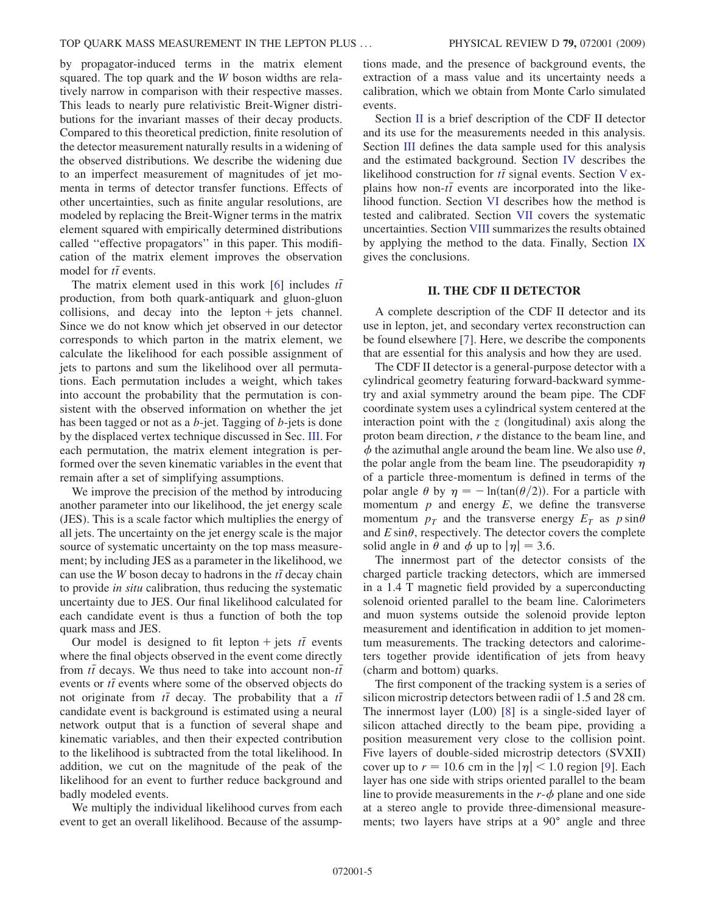by propagator-induced terms in the matrix element squared. The top quark and the W boson widths are relatively narrow in comparison with their respective masses. This leads to nearly pure relativistic Breit-Wigner distributions for the invariant masses of their decay products. Compared to this theoretical prediction, finite resolution of the detector measurement naturally results in a widening of the observed distributions. We describe the widening due to an imperfect measurement of magnitudes of jet momenta in terms of detector transfer functions. Effects of other uncertainties, such as finite angular resolutions, are modeled by replacing the Breit-Wigner terms in the matrix element squared with empirically determined distributions called ''effective propagators'' in this paper. This modification of the matrix element improves the observation model for  $t\bar{t}$  events.

The matrix element used in this work [[6\]](#page-24-0) includes  $t\bar{t}$ production, from both quark-antiquark and gluon-gluon collisions, and decay into the lepton  $+$  jets channel. Since we do not know which jet observed in our detector corresponds to which parton in the matrix element, we calculate the likelihood for each possible assignment of jets to partons and sum the likelihood over all permutations. Each permutation includes a weight, which takes into account the probability that the permutation is consistent with the observed information on whether the jet has been tagged or not as a b-jet. Tagging of b-jets is done by the displaced vertex technique discussed in Sec. III. For each permutation, the matrix element integration is performed over the seven kinematic variables in the event that remain after a set of simplifying assumptions.

We improve the precision of the method by introducing another parameter into our likelihood, the jet energy scale (JES). This is a scale factor which multiplies the energy of all jets. The uncertainty on the jet energy scale is the major source of systematic uncertainty on the top mass measurement; by including JES as a parameter in the likelihood, we can use the W boson decay to hadrons in the  $t\bar{t}$  decay chain to provide in situ calibration, thus reducing the systematic uncertainty due to JES. Our final likelihood calculated for each candidate event is thus a function of both the top quark mass and JES.

Our model is designed to fit lepton + jets  $t\bar{t}$  events where the final objects observed in the event come directly from  $t\bar{t}$  decays. We thus need to take into account non- $t\bar{t}$ events or  $t\bar{t}$  events where some of the observed objects do not originate from  $t\bar{t}$  decay. The probability that a  $t\bar{t}$ candidate event is background is estimated using a neural network output that is a function of several shape and kinematic variables, and then their expected contribution to the likelihood is subtracted from the total likelihood. In addition, we cut on the magnitude of the peak of the likelihood for an event to further reduce background and badly modeled events.

We multiply the individual likelihood curves from each event to get an overall likelihood. Because of the assumptions made, and the presence of background events, the extraction of a mass value and its uncertainty needs a calibration, which we obtain from Monte Carlo simulated events.

Section II is a brief description of the CDF II detector and its use for the measurements needed in this analysis. Section III defines the data sample used for this analysis and the estimated background. Section IV describes the likelihood construction for  $t\bar{t}$  signal events. Section V explains how non- $t\bar{t}$  events are incorporated into the likelihood function. Section VI describes how the method is tested and calibrated. Section VII covers the systematic uncertainties. Section VIII summarizes the results obtained by applying the method to the data. Finally, Section IX gives the conclusions.

### II. THE CDF II DETECTOR

A complete description of the CDF II detector and its use in lepton, jet, and secondary vertex reconstruction can be found elsewhere [\[7](#page-24-0)]. Here, we describe the components that are essential for this analysis and how they are used.

The CDF II detector is a general-purpose detector with a cylindrical geometry featuring forward-backward symmetry and axial symmetry around the beam pipe. The CDF coordinate system uses a cylindrical system centered at the interaction point with the z (longitudinal) axis along the proton beam direction, r the distance to the beam line, and  $\phi$  the azimuthal angle around the beam line. We also use  $\theta$ , the polar angle from the beam line. The pseudorapidity  $\eta$ of a particle three-momentum is defined in terms of the polar angle  $\theta$  by  $\eta = -\ln(\tan(\theta/2))$ . For a particle with momentum  $p$  and energy  $E$ , we define the transverse momentum  $p_T$  and the transverse energy  $E_T$  as  $p \sin\theta$ and  $E \sin\theta$ , respectively. The detector covers the complete solid angle in  $\theta$  and  $\phi$  up to  $|\eta| = 3.6$ .

The innermost part of the detector consists of the charged particle tracking detectors, which are immersed in a 1.4 T magnetic field provided by a superconducting solenoid oriented parallel to the beam line. Calorimeters and muon systems outside the solenoid provide lepton measurement and identification in addition to jet momentum measurements. The tracking detectors and calorimeters together provide identification of jets from heavy (charm and bottom) quarks.

The first component of the tracking system is a series of silicon microstrip detectors between radii of 1.5 and 28 cm. The innermost layer (L00) [\[8\]](#page-24-0) is a single-sided layer of silicon attached directly to the beam pipe, providing a position measurement very close to the collision point. Five layers of double-sided microstrip detectors (SVXII) cover up to  $r = 10.6$  cm in the  $|\eta| < 1.0$  region [[9](#page-24-0)]. Each layer has one side with strips oriented parallel to the beam line to provide measurements in the  $r-\phi$  plane and one side at a stereo angle to provide three-dimensional measurements; two layers have strips at a  $90^\circ$  angle and three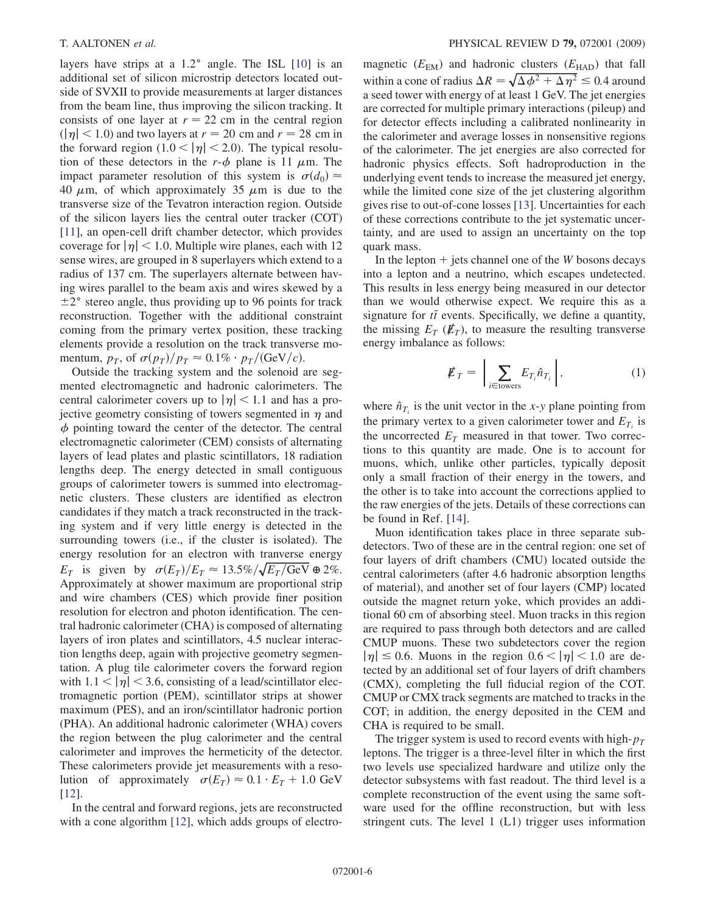layers have strips at a  $1.2^\circ$  angle. The ISL [\[10\]](#page-24-0) is an additional set of silicon microstrip detectors located outside of SVXII to provide measurements at larger distances from the beam line, thus improving the silicon tracking. It consists of one layer at  $r = 22$  cm in the central region  $(|\eta| < 1.0)$  and two layers at  $r = 20$  cm and  $r = 28$  cm in the forward region  $(1.0 < |\eta| < 2.0)$ . The typical resolution of these detectors in the r- $\phi$  plane is 11  $\mu$ m. The impact parameter resolution of this system is  $\sigma(d_0) \approx$ 40  $\mu$ m, of which approximately 35  $\mu$ m is due to the transverse size of the Tevatron interaction region. Outside of the silicon layers lies the central outer tracker (COT) [\[11\]](#page-24-0), an open-cell drift chamber detector, which provides coverage for  $|\eta|$  < 1.0. Multiple wire planes, each with 12 sense wires, are grouped in 8 superlayers which extend to a radius of 137 cm. The superlayers alternate between having wires parallel to the beam axis and wires skewed by a  $\pm 2^{\circ}$  stereo angle, thus providing up to 96 points for track reconstruction. Together with the additional constraint coming from the primary vertex position, these tracking elements provide a resolution on the track transverse momentum,  $p_T$ , of  $\sigma(p_T)/p_T \approx 0.1\% \cdot p_T/(\text{GeV}/c)$ .

Outside the tracking system and the solenoid are segmented electromagnetic and hadronic calorimeters. The central calorimeter covers up to  $|\eta|$  < 1.1 and has a projective geometry consisting of towers segmented in  $\eta$  and  $\phi$  pointing toward the center of the detector. The central electromagnetic calorimeter (CEM) consists of alternating layers of lead plates and plastic scintillators, 18 radiation lengths deep. The energy detected in small contiguous groups of calorimeter towers is summed into electromagnetic clusters. These clusters are identified as electron candidates if they match a track reconstructed in the tracking system and if very little energy is detected in the surrounding towers (i.e., if the cluster is isolated). The energy resolution for an electron with tranverse energy  $E_T$  is given by  $\sigma(E_T)/E_T \approx 13.5\% / \sqrt{E_T/\text{GeV}} \oplus 2\%$ . Approximately at shower maximum are proportional strip and wire chambers (CES) which provide finer position resolution for electron and photon identification. The central hadronic calorimeter (CHA) is composed of alternating layers of iron plates and scintillators, 4.5 nuclear interaction lengths deep, again with projective geometry segmentation. A plug tile calorimeter covers the forward region with  $1.1 < |\eta| < 3.6$ , consisting of a lead/scintillator electromagnetic portion (PEM), scintillator strips at shower maximum (PES), and an iron/scintillator hadronic portion (PHA). An additional hadronic calorimeter (WHA) covers the region between the plug calorimeter and the central calorimeter and improves the hermeticity of the detector. These calorimeters provide jet measurements with a resolution of approximately  $\sigma(E_T) \approx 0.1 \cdot E_T + 1.0 \text{ GeV}$ [\[12\]](#page-24-0).

In the central and forward regions, jets are reconstructed with a cone algorithm [\[12\]](#page-24-0), which adds groups of electromagnetic  $(E_{EM})$  and hadronic clusters  $(E_{HAD})$  that fall within a cone of radius  $\Delta R = \sqrt{\Delta \phi^2 + \Delta \eta^2} \le 0.4$  around a seed tower with energy of at least 1 GeV. The jet energies are corrected for multiple primary interactions (pileup) and for detector effects including a calibrated nonlinearity in the calorimeter and average losses in nonsensitive regions of the calorimeter. The jet energies are also corrected for hadronic physics effects. Soft hadroproduction in the underlying event tends to increase the measured jet energy, while the limited cone size of the jet clustering algorithm gives rise to out-of-cone losses [\[13](#page-25-0)]. Uncertainties for each of these corrections contribute to the jet systematic uncertainty, and are used to assign an uncertainty on the top quark mass.

In the lepton  $+$  jets channel one of the W bosons decays into a lepton and a neutrino, which escapes undetected. This results in less energy being measured in our detector than we would otherwise expect. We require this as a signature for  $t\bar{t}$  events. Specifically, we define a quantity, the missing  $E_T$  ( $\not{\!\not\! E}_T$ ), to measure the resulting transverse energy imbalance as follows:

$$
\boldsymbol{E}_T = \left| \sum_{i \in \text{towers}} E_{T_i} \hat{n}_{T_i} \right|, \tag{1}
$$

where  $\hat{n}_{T_i}$  is the unit vector in the x-y plane pointing from the primary vertex to a given calorimeter tower and  $E_T$  is the uncorrected  $E_T$  measured in that tower. Two corrections to this quantity are made. One is to account for muons, which, unlike other particles, typically deposit only a small fraction of their energy in the towers, and the other is to take into account the corrections applied to the raw energies of the jets. Details of these corrections can be found in Ref. [[14](#page-25-0)].

Muon identification takes place in three separate subdetectors. Two of these are in the central region: one set of four layers of drift chambers (CMU) located outside the central calorimeters (after 4.6 hadronic absorption lengths of material), and another set of four layers (CMP) located outside the magnet return yoke, which provides an additional 60 cm of absorbing steel. Muon tracks in this region are required to pass through both detectors and are called CMUP muons. These two subdetectors cover the region  $|\eta| \leq 0.6$ . Muons in the region  $0.6 < |\eta| < 1.0$  are detected by an additional set of four layers of drift chambers (CMX), completing the full fiducial region of the COT. CMUP or CMX track segments are matched to tracks in the COT; in addition, the energy deposited in the CEM and CHA is required to be small.

The trigger system is used to record events with high- $p<sub>T</sub>$ leptons. The trigger is a three-level filter in which the first two levels use specialized hardware and utilize only the detector subsystems with fast readout. The third level is a complete reconstruction of the event using the same software used for the offline reconstruction, but with less stringent cuts. The level 1 (L1) trigger uses information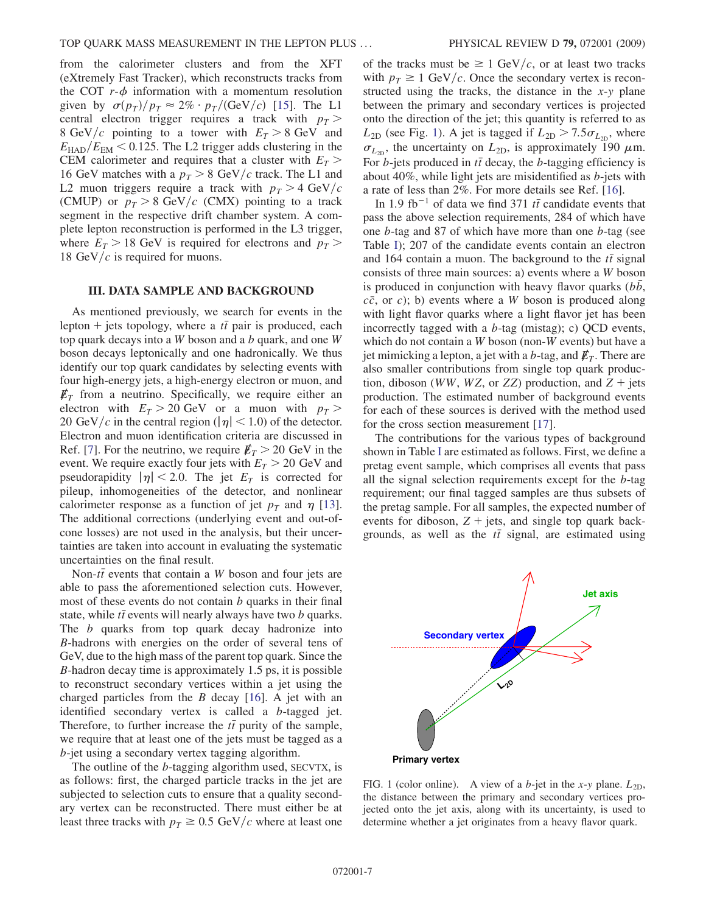from the calorimeter clusters and from the XFT (eXtremely Fast Tracker), which reconstructs tracks from the COT  $r-\phi$  information with a momentum resolution given by  $\sigma(p_T)/p_T \approx 2\% \cdot p_T/(\text{GeV}/c)$  [\[15\]](#page-25-0). The L1 central electron trigger requires a track with  $p_T$  > 8 GeV/c pointing to a tower with  $E_T > 8$  GeV and  $E_{\text{HAD}}/E_{\text{EM}}$  < 0.125. The L2 trigger adds clustering in the CEM calorimeter and requires that a cluster with  $E_T$  > 16 GeV matches with a  $p_T > 8$  GeV/c track. The L1 and L2 muon triggers require a track with  $p_T > 4 \text{ GeV}/c$ (CMUP) or  $p_T > 8$  GeV/c (CMX) pointing to a track segment in the respective drift chamber system. A complete lepton reconstruction is performed in the L3 trigger, where  $E_T > 18$  GeV is required for electrons and  $p_T > 18$ 18 GeV/ $c$  is required for muons.

### III. DATA SAMPLE AND BACKGROUND

As mentioned previously, we search for events in the lepton + jets topology, where a  $t\bar{t}$  pair is produced, each top quark decays into a  $W$  boson and a  $b$  quark, and one  $W$ boson decays leptonically and one hadronically. We thus identify our top quark candidates by selecting events with four high-energy jets, a high-energy electron or muon, and  $\n *E*<sub>T</sub>\n$  from a neutrino. Specifically, we require either an electron with  $E_T > 20$  GeV or a muon with  $p_T > 10$ 20 GeV/c in the central region ( $|\eta|$  < 1.0) of the detector. Electron and muon identification criteria are discussed in Ref. [\[7](#page-24-0)]. For the neutrino, we require  $E_T > 20$  GeV in the event. We require exactly four jets with  $E_T > 20$  GeV and pseudorapidity  $|\eta|$  < 2.0. The jet  $E_T$  is corrected for pileup, inhomogeneities of the detector, and nonlinear calorimeter response as a function of jet  $p_T$  and  $\eta$  [\[13\]](#page-25-0). The additional corrections (underlying event and out-ofcone losses) are not used in the analysis, but their uncertainties are taken into account in evaluating the systematic uncertainties on the final result.

Non- $t\bar{t}$  events that contain a W boson and four jets are able to pass the aforementioned selection cuts. However, most of these events do not contain  $b$  quarks in their final state, while  $t\bar{t}$  events will nearly always have two  $b$  quarks. The *b* quarks from top quark decay hadronize into B-hadrons with energies on the order of several tens of GeV, due to the high mass of the parent top quark. Since the B-hadron decay time is approximately 1.5 ps, it is possible to reconstruct secondary vertices within a jet using the charged particles from the  $B$  decay [[16](#page-25-0)]. A jet with an identified secondary vertex is called a b-tagged jet. Therefore, to further increase the  $t\bar{t}$  purity of the sample, we require that at least one of the jets must be tagged as a b-jet using a secondary vertex tagging algorithm.

The outline of the *b*-tagging algorithm used, SECVTX, is as follows: first, the charged particle tracks in the jet are subjected to selection cuts to ensure that a quality secondary vertex can be reconstructed. There must either be at least three tracks with  $p_T \geq 0.5$  GeV/c where at least one of the tracks must be  $\geq 1$  GeV/c, or at least two tracks with  $p_T \geq 1$  GeV/c. Once the secondary vertex is reconstructed using the tracks, the distance in the  $x-y$  plane between the primary and secondary vertices is projected onto the direction of the jet; this quantity is referred to as  $L_{2D}$  (see Fig. 1). A jet is tagged if  $L_{2D} > 7.5\sigma_{L_{2D}}$ , where  $\sigma_{L_{2D}}$ , the uncertainty on  $L_{2D}$ , is approximately 190  $\mu$ m. For  $b$ -jets produced in  $t\bar{t}$  decay, the  $b$ -tagging efficiency is about 40%, while light jets are misidentified as b-jets with a rate of less than 2%. For more details see Ref. [[16](#page-25-0)].

In 1.9 fb<sup>-1</sup> of data we find 371  $t\bar{t}$  candidate events that pass the above selection requirements, 284 of which have one b-tag and 87 of which have more than one b-tag (see Table [I](#page-10-0)); 207 of the candidate events contain an electron and 164 contain a muon. The background to the  $t\bar{t}$  signal consists of three main sources: a) events where a W boson is produced in conjunction with heavy flavor quarks (bb,  $c\bar{c}$ , or c); b) events where a W boson is produced along with light flavor quarks where a light flavor jet has been incorrectly tagged with a b-tag (mistag); c) QCD events, which do not contain a W boson (non-W events) but have a jet mimicking a lepton, a jet with a b-tag, and  $\not\!\! E_T$ . There are also smaller contributions from single top quark production, diboson (WW, WZ, or ZZ) production, and  $Z +$  jets production. The estimated number of background events for each of these sources is derived with the method used for the cross section measurement [[17](#page-25-0)].

The contributions for the various types of background shown in Table [I](#page-10-0) are estimated as follows. First, we define a pretag event sample, which comprises all events that pass all the signal selection requirements except for the b-tag requirement; our final tagged samples are thus subsets of the pretag sample. For all samples, the expected number of events for diboson,  $Z$  + jets, and single top quark backgrounds, as well as the  $t\bar{t}$  signal, are estimated using



FIG. 1 (color online). A view of a b-jet in the x-y plane.  $L_{2D}$ , the distance between the primary and secondary vertices projected onto the jet axis, along with its uncertainty, is used to determine whether a jet originates from a heavy flavor quark.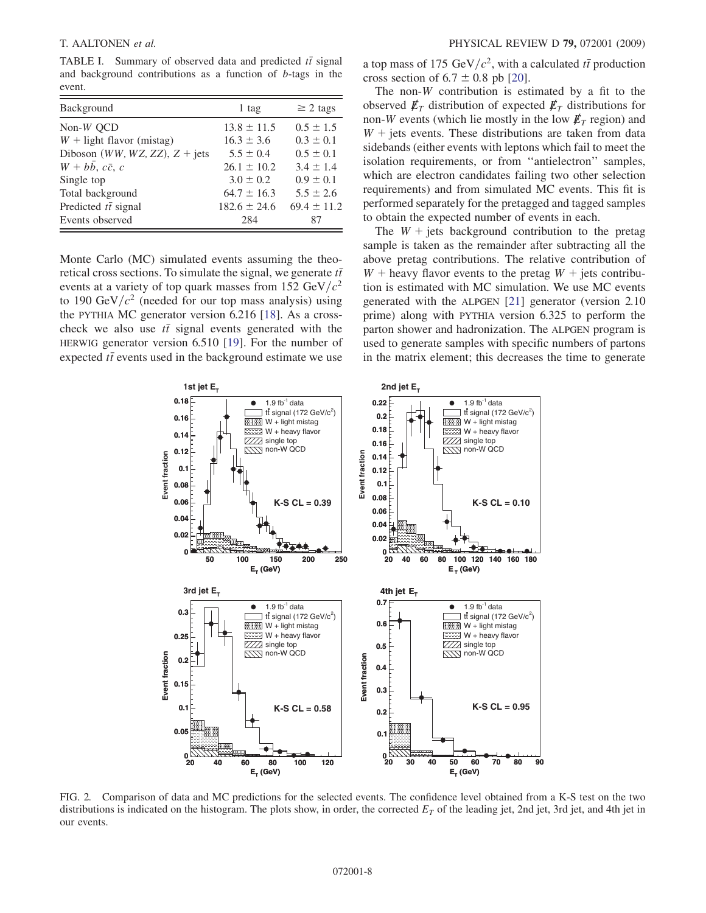<span id="page-10-0"></span>TABLE I. Summary of observed data and predicted  $t\bar{t}$  signal and background contributions as a function of b-tags in the event.

| Background                        | 1 tag            | $\geq$ 2 tags   |
|-----------------------------------|------------------|-----------------|
| Non- $W$ QCD                      | $13.8 \pm 11.5$  | $0.5 \pm 1.5$   |
| $W$ + light flavor (mistag)       | $16.3 \pm 3.6$   | $0.3 \pm 0.1$   |
| Diboson (WW, WZ, ZZ), $Z$ + jets  | $5.5 \pm 0.4$    | $0.5 \pm 0.1$   |
| $W + b\bar{b}$ , $c\bar{c}$ , $c$ | $26.1 \pm 10.2$  | $3.4 \pm 1.4$   |
| Single top                        | $3.0 \pm 0.2$    | $0.9 \pm 0.1$   |
| Total background                  | $64.7 \pm 16.3$  | $5.5 \pm 2.6$   |
| Predicted $t\bar{t}$ signal       | $182.6 \pm 24.6$ | $69.4 \pm 11.2$ |
| Events observed                   | 284              | 87              |

Monte Carlo (MC) simulated events assuming the theoretical cross sections. To simulate the signal, we generate  $t\bar{t}$ events at a variety of top quark masses from 152 GeV/ $c^2$ to 190 GeV/ $c^2$  (needed for our top mass analysis) using the PYTHIA MC generator version 6.216 [\[18](#page-25-0)]. As a crosscheck we also use  $t\bar{t}$  signal events generated with the HERWIG generator version 6.510 [\[19\]](#page-25-0). For the number of expected  $t\bar{t}$  events used in the background estimate we use a top mass of 175 GeV/ $c^2$ , with a calculated  $t\bar{t}$  production cross section of  $6.7 \pm 0.8$  pb [[20](#page-25-0)].

The non- $W$  contribution is estimated by a fit to the observed  $E_T$  distribution of expected  $E_T$  distributions for non-W events (which lie mostly in the low  $E_T$  region) and  $W +$  jets events. These distributions are taken from data sidebands (either events with leptons which fail to meet the isolation requirements, or from ''antielectron'' samples, which are electron candidates failing two other selection requirements) and from simulated MC events. This fit is performed separately for the pretagged and tagged samples to obtain the expected number of events in each.

The  $W +$  jets background contribution to the pretag sample is taken as the remainder after subtracting all the above pretag contributions. The relative contribution of  $W$  + heavy flavor events to the pretag  $W$  + jets contribution is estimated with MC simulation. We use MC events generated with the ALPGEN [\[21\]](#page-25-0) generator (version 2.10 prime) along with PYTHIA version 6.325 to perform the parton shower and hadronization. The ALPGEN program is used to generate samples with specific numbers of partons in the matrix element; this decreases the time to generate



FIG. 2. Comparison of data and MC predictions for the selected events. The confidence level obtained from a K-S test on the two distributions is indicated on the histogram. The plots show, in order, the corrected  $E<sub>T</sub>$  of the leading jet, 2nd jet, 3rd jet, and 4th jet in our events.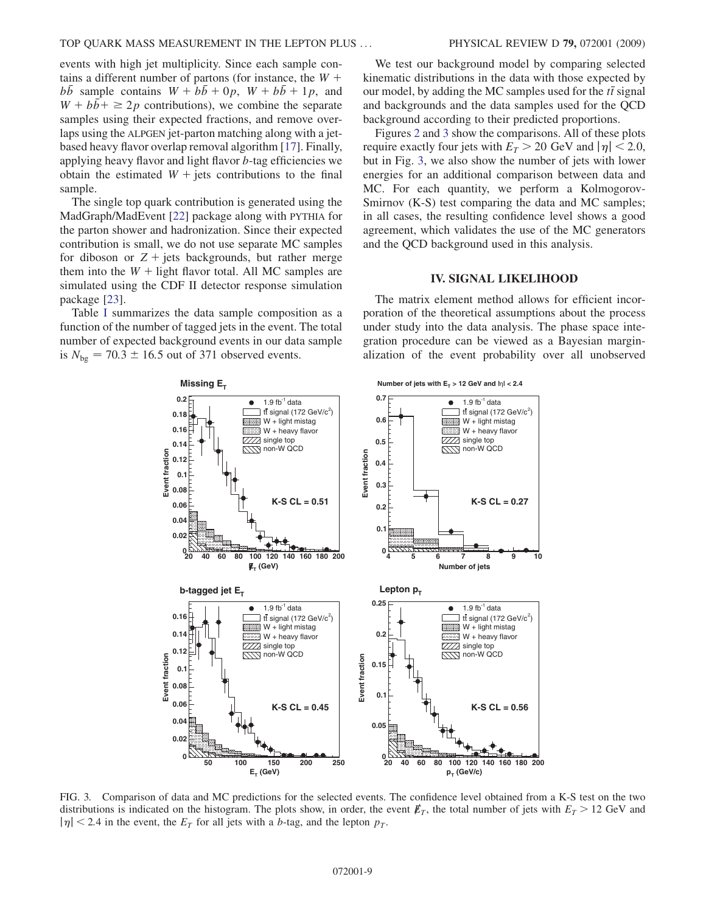events with high jet multiplicity. Since each sample contains a different number of partons (for instance, the  $W +$  $b\bar{b}$  sample contains  $W + b\bar{b} + 0p$ ,  $W + b\bar{b} + 1p$ , and  $W + b\overline{b} + \geq 2p$  contributions), we combine the separate samples using their expected fractions, and remove overlaps using the ALPGEN jet-parton matching along with a jetbased heavy flavor overlap removal algorithm [[17](#page-25-0)]. Finally, applying heavy flavor and light flavor b-tag efficiencies we obtain the estimated  $W +$  jets contributions to the final sample.

The single top quark contribution is generated using the MadGraph/MadEvent [\[22](#page-25-0)] package along with PYTHIA for the parton shower and hadronization. Since their expected contribution is small, we do not use separate MC samples for diboson or  $Z +$  jets backgrounds, but rather merge them into the  $W +$  light flavor total. All MC samples are simulated using the CDF II detector response simulation package [[23](#page-25-0)].

Table [I](#page-10-0) summarizes the data sample composition as a function of the number of tagged jets in the event. The total number of expected background events in our data sample is  $N_{\text{bg}} = 70.3 \pm 16.5$  out of 371 observed events.

We test our background model by comparing selected kinematic distributions in the data with those expected by our model, by adding the MC samples used for the  $t\bar{t}$  signal and backgrounds and the data samples used for the QCD background according to their predicted proportions.

Figures [2](#page-10-0) and 3 show the comparisons. All of these plots require exactly four jets with  $E_T > 20$  GeV and  $|\eta| < 2.0$ , but in Fig. 3, we also show the number of jets with lower energies for an additional comparison between data and MC. For each quantity, we perform a Kolmogorov-Smirnov (K-S) test comparing the data and MC samples; in all cases, the resulting confidence level shows a good agreement, which validates the use of the MC generators and the QCD background used in this analysis.

### IV. SIGNAL LIKELIHOOD

The matrix element method allows for efficient incorporation of the theoretical assumptions about the process under study into the data analysis. The phase space integration procedure can be viewed as a Bayesian marginalization of the event probability over all unobserved



FIG. 3. Comparison of data and MC predictions for the selected events. The confidence level obtained from a K-S test on the two distributions is indicated on the histogram. The plots show, in order, the event  $\not{E}_T$ , the total number of jets with  $E_T > 12$  GeV and  $|\eta|$  < 2.4 in the event, the  $E_T$  for all jets with a b-tag, and the lepton  $p_T$ .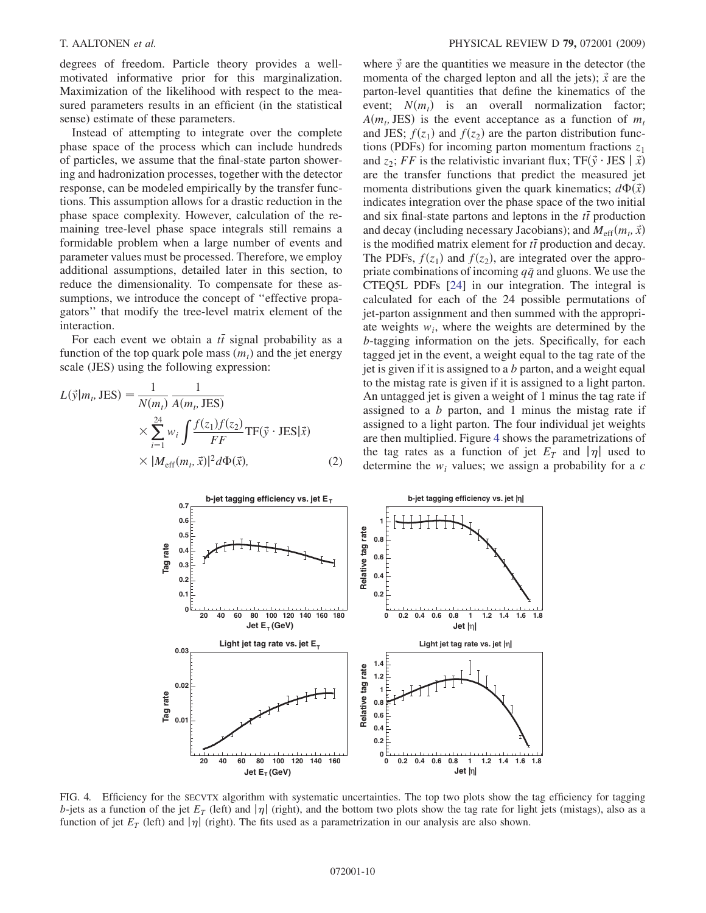<span id="page-12-0"></span>degrees of freedom. Particle theory provides a wellmotivated informative prior for this marginalization. Maximization of the likelihood with respect to the measured parameters results in an efficient (in the statistical sense) estimate of these parameters.

Instead of attempting to integrate over the complete phase space of the process which can include hundreds of particles, we assume that the final-state parton showering and hadronization processes, together with the detector response, can be modeled empirically by the transfer functions. This assumption allows for a drastic reduction in the phase space complexity. However, calculation of the remaining tree-level phase space integrals still remains a formidable problem when a large number of events and parameter values must be processed. Therefore, we employ additional assumptions, detailed later in this section, to reduce the dimensionality. To compensate for these assumptions, we introduce the concept of ''effective propagators'' that modify the tree-level matrix element of the interaction.

For each event we obtain a  $t\bar{t}$  signal probability as a function of the top quark pole mass  $(m_t)$  and the jet energy scale (JES) using the following expression:

$$
L(\vec{y}|m_t, \text{JES}) = \frac{1}{N(m_t)} \frac{1}{A(m_t, \text{JES})}
$$

$$
\times \sum_{i=1}^{24} w_i \int \frac{f(z_1)f(z_2)}{FF} \text{TF}(\vec{y} \cdot \text{JES}|\vec{x})
$$

$$
\times |M_{\text{eff}}(m_t, \vec{x})|^2 d\Phi(\vec{x}), \tag{2}
$$

where  $\vec{v}$  are the quantities we measure in the detector (the momenta of the charged lepton and all the jets);  $\vec{x}$  are the parton-level quantities that define the kinematics of the event;  $N(m_t)$  is an overall normalization factor;  $A(m_t, JES)$  is the event acceptance as a function of  $m_t$ and JES;  $f(z_1)$  and  $f(z_2)$  are the parton distribution functions (PDFs) for incoming parton momentum fractions  $z_1$ and  $z_2$ ; FF is the relativistic invariant flux; TF $(\vec{v} \cdot JES \mid \vec{x})$ are the transfer functions that predict the measured jet momenta distributions given the quark kinematics;  $d\Phi(\vec{x})$ indicates integration over the phase space of the two initial and six final-state partons and leptons in the  $t\bar{t}$  production and decay (including necessary Jacobians); and  $M_{\text{eff}}(m_t, \vec{x})$ is the modified matrix element for  $t\bar{t}$  production and decay. The PDFs,  $f(z_1)$  and  $f(z_2)$ , are integrated over the appropriate combinations of incoming  $q\bar{q}$  and gluons. We use the CTEQ5L PDFs [[24\]](#page-25-0) in our integration. The integral is calculated for each of the 24 possible permutations of jet-parton assignment and then summed with the appropriate weights  $w_i$ , where the weights are determined by the b-tagging information on the jets. Specifically, for each tagged jet in the event, a weight equal to the tag rate of the jet is given if it is assigned to a  $b$  parton, and a weight equal to the mistag rate is given if it is assigned to a light parton. An untagged jet is given a weight of 1 minus the tag rate if assigned to a b parton, and 1 minus the mistag rate if assigned to a light parton. The four individual jet weights are then multiplied. Figure 4 shows the parametrizations of the tag rates as a function of jet  $E_T$  and  $|\eta|$  used to determine the  $w_i$  values; we assign a probability for a c



FIG. 4. Efficiency for the SECVTX algorithm with systematic uncertainties. The top two plots show the tag efficiency for tagging b-jets as a function of the jet  $E_T$  (left) and  $|\eta|$  (right), and the bottom two plots show the tag rate for light jets (mistags), also as a function of jet  $E_T$  (left) and  $|\eta|$  (right). The fits used as a parametrization in our analysis are also shown.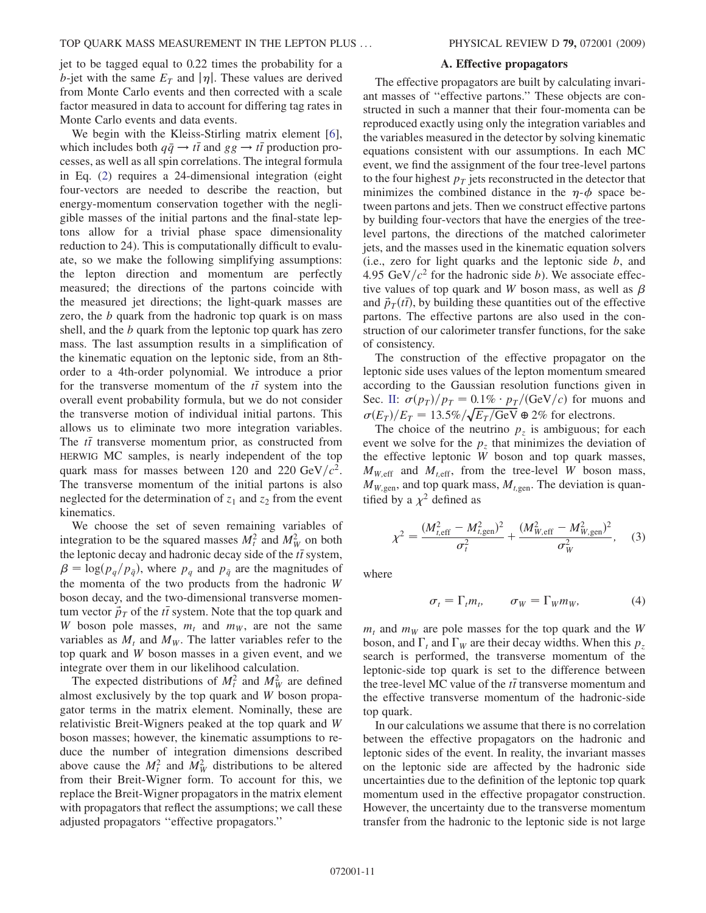jet to be tagged equal to 0.22 times the probability for a b-jet with the same  $E_T$  and  $|\eta|$ . These values are derived from Monte Carlo events and then corrected with a scale factor measured in data to account for differing tag rates in Monte Carlo events and data events.

We begin with the Kleiss-Stirling matrix element [[6\]](#page-24-0), which includes both  $q\bar{q} \to t\bar{t}$  and  $gg \to t\bar{t}$  production processes, as well as all spin correlations. The integral formula in Eq. [\(2\)](#page-12-0) requires a 24-dimensional integration (eight four-vectors are needed to describe the reaction, but energy-momentum conservation together with the negligible masses of the initial partons and the final-state leptons allow for a trivial phase space dimensionality reduction to 24). This is computationally difficult to evaluate, so we make the following simplifying assumptions: the lepton direction and momentum are perfectly measured; the directions of the partons coincide with the measured jet directions; the light-quark masses are zero, the *b* quark from the hadronic top quark is on mass shell, and the b quark from the leptonic top quark has zero mass. The last assumption results in a simplification of the kinematic equation on the leptonic side, from an 8thorder to a 4th-order polynomial. We introduce a prior for the transverse momentum of the  $t\bar{t}$  system into the overall event probability formula, but we do not consider the transverse motion of individual initial partons. This allows us to eliminate two more integration variables. The  $t\bar{t}$  transverse momentum prior, as constructed from HERWIG MC samples, is nearly independent of the top quark mass for masses between 120 and 220 GeV/ $c^2$ . The transverse momentum of the initial partons is also neglected for the determination of  $z_1$  and  $z_2$  from the event kinematics.

We choose the set of seven remaining variables of integration to be the squared masses  $M_t^2$  and  $M_W^2$  on both the leptonic decay and hadronic decay side of the  $t\bar{t}$  system,  $\beta = \log(p_q/p_{\bar{q}})$ , where  $p_q$  and  $p_{\bar{q}}$  are the magnitudes of the momenta of the two products from the hadronic W boson decay, and the two-dimensional transverse momentum vector  $\vec{p}_T$  of the  $t\bar{t}$  system. Note that the top quark and W boson pole masses,  $m_t$  and  $m_W$ , are not the same variables as  $M_t$  and  $M_W$ . The latter variables refer to the top quark and W boson masses in a given event, and we integrate over them in our likelihood calculation.

The expected distributions of  $M_t^2$  and  $M_W^2$  are defined almost exclusively by the top quark and W boson propagator terms in the matrix element. Nominally, these are relativistic Breit-Wigners peaked at the top quark and W boson masses; however, the kinematic assumptions to reduce the number of integration dimensions described above cause the  $M_t^2$  and  $M_W^2$  distributions to be altered from their Breit-Wigner form. To account for this, we replace the Breit-Wigner propagators in the matrix element with propagators that reflect the assumptions; we call these adjusted propagators ''effective propagators.''

### A. Effective propagators

The effective propagators are built by calculating invariant masses of ''effective partons.'' These objects are constructed in such a manner that their four-momenta can be reproduced exactly using only the integration variables and the variables measured in the detector by solving kinematic equations consistent with our assumptions. In each MC event, we find the assignment of the four tree-level partons to the four highest  $p_T$  jets reconstructed in the detector that minimizes the combined distance in the  $\eta$ - $\phi$  space between partons and jets. Then we construct effective partons by building four-vectors that have the energies of the treelevel partons, the directions of the matched calorimeter jets, and the masses used in the kinematic equation solvers (i.e., zero for light quarks and the leptonic side  $b$ , and 4.95 GeV/ $c^2$  for the hadronic side b). We associate effective values of top quark and W boson mass, as well as  $\beta$ and  $\vec{p}_T(t\vec{t})$ , by building these quantities out of the effective partons. The effective partons are also used in the construction of our calorimeter transfer functions, for the sake of consistency.

The construction of the effective propagator on the leptonic side uses values of the lepton momentum smeared according to the Gaussian resolution functions given in Sec. II:  $\sigma(p_T)/p_T = 0.1\% \cdot p_T/(\text{GeV}/c)$  for muons and  $\sigma(E_T)/E_T = 13.5\% / \sqrt{E_T/\text{GeV}} \oplus 2\%$  for electrons.

The choice of the neutrino  $p<sub>z</sub>$  is ambiguous; for each event we solve for the  $p<sub>z</sub>$  that minimizes the deviation of the effective leptonic W boson and top quark masses,  $M_{W,eff}$  and  $M_{teff}$ , from the tree-level W boson mass,  $M_{W,gen}$ , and top quark mass,  $M_{t,gen}$ . The deviation is quantified by a  $\chi^2$  defined as

$$
\chi^2 = \frac{(M_{t,\text{eff}}^2 - M_{t,\text{gen}}^2)^2}{\sigma_t^2} + \frac{(M_{W,\text{eff}}^2 - M_{W,\text{gen}}^2)^2}{\sigma_W^2},\quad(3)
$$

where

$$
\sigma_t = \Gamma_t m_t, \qquad \sigma_W = \Gamma_W m_W, \tag{4}
$$

 $m_t$  and  $m_W$  are pole masses for the top quark and the W boson, and  $\Gamma_t$  and  $\Gamma_W$  are their decay widths. When this  $p_z$ search is performed, the transverse momentum of the leptonic-side top quark is set to the difference between the tree-level MC value of the  $t\bar{t}$  transverse momentum and the effective transverse momentum of the hadronic-side top quark.

In our calculations we assume that there is no correlation between the effective propagators on the hadronic and leptonic sides of the event. In reality, the invariant masses on the leptonic side are affected by the hadronic side uncertainties due to the definition of the leptonic top quark momentum used in the effective propagator construction. However, the uncertainty due to the transverse momentum transfer from the hadronic to the leptonic side is not large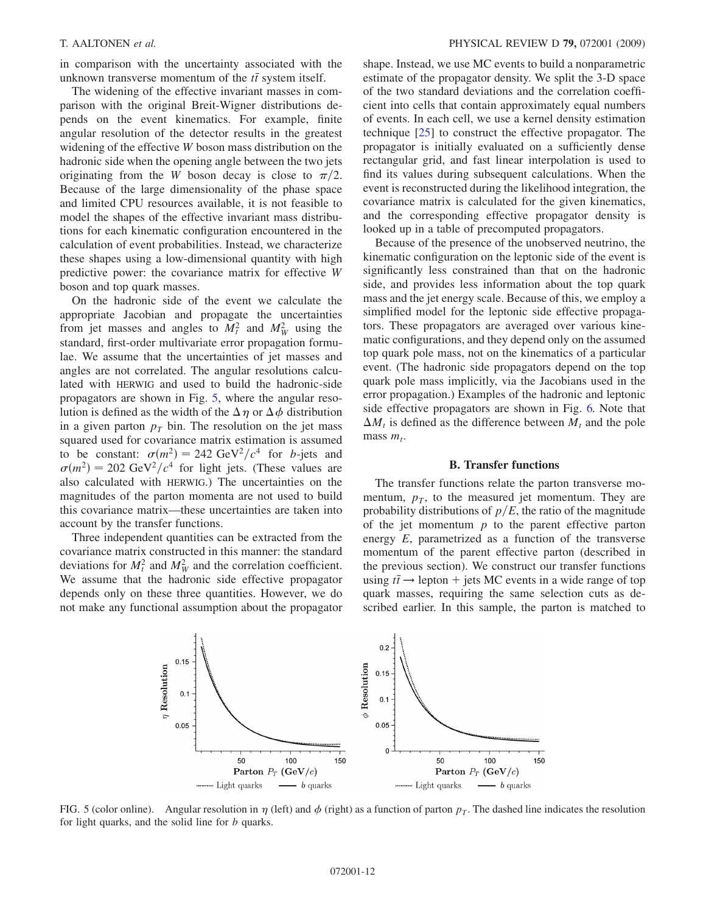in comparison with the uncertainty associated with the unknown transverse momentum of the  $t\bar{t}$  system itself.

The widening of the effective invariant masses in comparison with the original Breit-Wigner distributions depends on the event kinematics. For example, finite angular resolution of the detector results in the greatest widening of the effective W boson mass distribution on the hadronic side when the opening angle between the two jets originating from the W boson decay is close to  $\pi/2$ . Because of the large dimensionality of the phase space and limited CPU resources available, it is not feasible to model the shapes of the effective invariant mass distributions for each kinematic configuration encountered in the calculation of event probabilities. Instead, we characterize these shapes using a low-dimensional quantity with high predictive power: the covariance matrix for effective W boson and top quark masses.

On the hadronic side of the event we calculate the appropriate Jacobian and propagate the uncertainties from jet masses and angles to  $M_t^2$  and  $M_W^2$  using the standard, first-order multivariate error propagation formulae. We assume that the uncertainties of jet masses and angles are not correlated. The angular resolutions calculated with HERWIG and used to build the hadronic-side propagators are shown in Fig. 5, where the angular resolution is defined as the width of the  $\Delta \eta$  or  $\Delta \phi$  distribution in a given parton  $p<sub>T</sub>$  bin. The resolution on the jet mass squared used for covariance matrix estimation is assumed to be constant:  $\sigma(m^2) = 242 \text{ GeV}^2/c^4$  for b-jets and  $\sigma(m^2) = 202 \text{ GeV}^2/c^4$  for light jets. (These values are also calculated with HERWIG.) The uncertainties on the magnitudes of the parton momenta are not used to build this covariance matrix—these uncertainties are taken into account by the transfer functions.

Three independent quantities can be extracted from the covariance matrix constructed in this manner: the standard deviations for  $M_t^2$  and  $M_W^2$  and the correlation coefficient. We assume that the hadronic side effective propagator depends only on these three quantities. However, we do not make any functional assumption about the propagator shape. Instead, we use MC events to build a nonparametric estimate of the propagator density. We split the 3-D space of the two standard deviations and the correlation coefficient into cells that contain approximately equal numbers of events. In each cell, we use a kernel density estimation technique [\[25\]](#page-25-0) to construct the effective propagator. The propagator is initially evaluated on a sufficiently dense rectangular grid, and fast linear interpolation is used to find its values during subsequent calculations. When the event is reconstructed during the likelihood integration, the covariance matrix is calculated for the given kinematics, and the corresponding effective propagator density is looked up in a table of precomputed propagators.

Because of the presence of the unobserved neutrino, the kinematic configuration on the leptonic side of the event is significantly less constrained than that on the hadronic side, and provides less information about the top quark mass and the jet energy scale. Because of this, we employ a simplified model for the leptonic side effective propagators. These propagators are averaged over various kinematic configurations, and they depend only on the assumed top quark pole mass, not on the kinematics of a particular event. (The hadronic side propagators depend on the top quark pole mass implicitly, via the Jacobians used in the error propagation.) Examples of the hadronic and leptonic side effective propagators are shown in Fig. [6.](#page-15-0) Note that  $\Delta M_t$  is defined as the difference between  $M_t$  and the pole mass  $m_t$ .

### B. Transfer functions

The transfer functions relate the parton transverse momentum,  $p_T$ , to the measured jet momentum. They are probability distributions of  $p/E$ , the ratio of the magnitude of the jet momentum  $p$  to the parent effective parton energy E, parametrized as a function of the transverse momentum of the parent effective parton (described in the previous section). We construct our transfer functions using  $t\bar{t} \rightarrow$  lepton + jets MC events in a wide range of top quark masses, requiring the same selection cuts as described earlier. In this sample, the parton is matched to



FIG. 5 (color online). Angular resolution in  $\eta$  (left) and  $\phi$  (right) as a function of parton  $p_T$ . The dashed line indicates the resolution for light quarks, and the solid line for b quarks.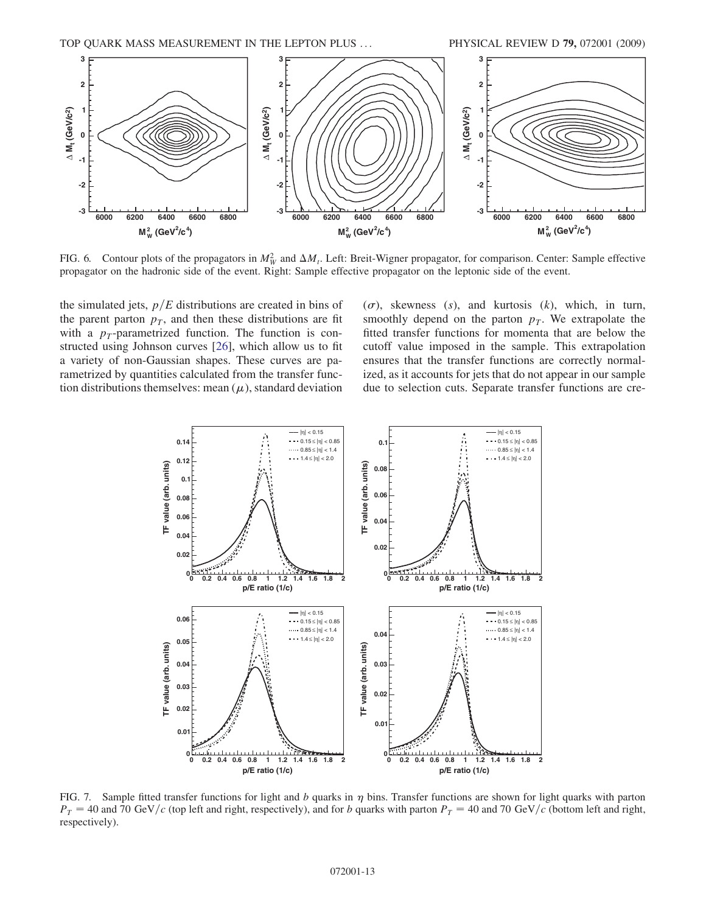<span id="page-15-0"></span>

FIG. 6. Contour plots of the propagators in  $M_W^2$  and  $\Delta M_t$ . Left: Breit-Wigner propagator, for comparison. Center: Sample effective propagator on the hadronic side of the event. Right: Sample effective propagator on the leptonic side of the event.

the simulated jets,  $p/E$  distributions are created in bins of the parent parton  $p<sub>T</sub>$ , and then these distributions are fit with a  $p_T$ -parametrized function. The function is constructed using Johnson curves [\[26\]](#page-25-0), which allow us to fit a variety of non-Gaussian shapes. These curves are parametrized by quantities calculated from the transfer function distributions themselves: mean  $(\mu)$ , standard deviation  $(\sigma)$ , skewness (s), and kurtosis (k), which, in turn, smoothly depend on the parton  $p<sub>T</sub>$ . We extrapolate the fitted transfer functions for momenta that are below the cutoff value imposed in the sample. This extrapolation ensures that the transfer functions are correctly normalized, as it accounts for jets that do not appear in our sample due to selection cuts. Separate transfer functions are cre-



FIG. 7. Sample fitted transfer functions for light and b quarks in  $\eta$  bins. Transfer functions are shown for light quarks with parton  $P_T = 40$  and 70 GeV/c (top left and right, respectively), and for b quarks with parton  $P_T = 40$  and 70 GeV/c (bottom left and right, respectively).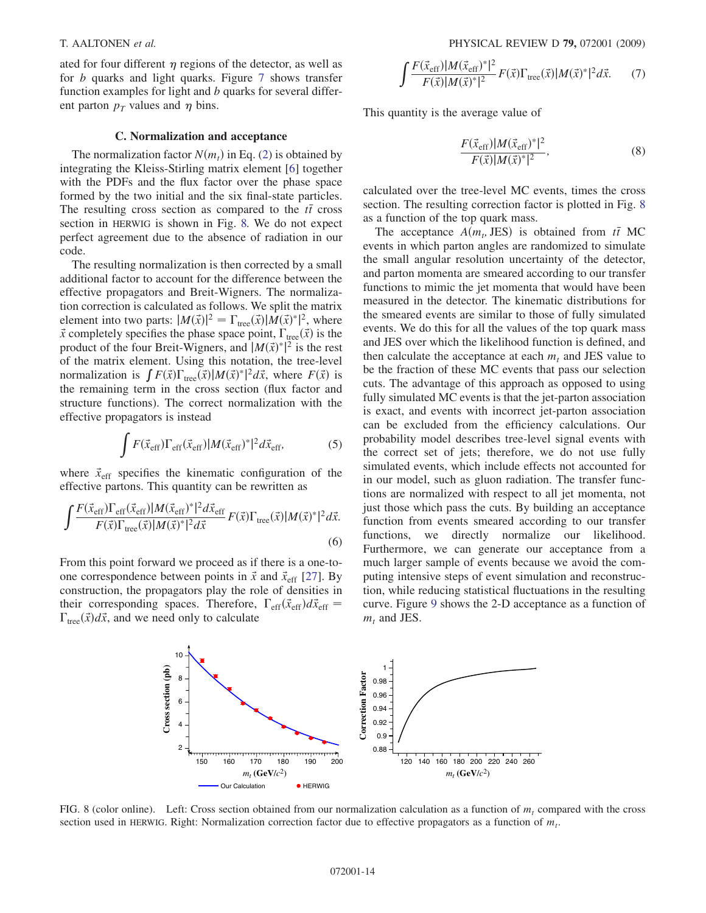ated for four different  $\eta$  regions of the detector, as well as for b quarks and light quarks. Figure [7](#page-15-0) shows transfer function examples for light and b quarks for several different parton  $p_T$  values and  $\eta$  bins.

### C. Normalization and acceptance

The normalization factor  $N(m_t)$  in Eq. ([2\)](#page-12-0) is obtained by integrating the Kleiss-Stirling matrix element [[6](#page-24-0)] together with the PDFs and the flux factor over the phase space formed by the two initial and the six final-state particles. The resulting cross section as compared to the  $t\bar{t}$  cross section in HERWIG is shown in Fig. 8. We do not expect perfect agreement due to the absence of radiation in our code.

The resulting normalization is then corrected by a small additional factor to account for the difference between the effective propagators and Breit-Wigners. The normalization correction is calculated as follows. We split the matrix element into two parts:  $|M(\vec{x})|^2 = \Gamma_{\text{tree}}(\vec{x}) |M(\vec{x})^*|^2$ , where  $\vec{x}$  completely specifies the phase space point,  $\Gamma_{\text{tree}}(\vec{x})$  is the product of the four Breit-Wigners, and  $|M(\vec{x})^*|^2$  is the rest of the matrix element. Using this notation, the tree-level normalization is  $\int F(\vec{x}) \Gamma_{\text{tree}}(\vec{x}) |M(\vec{x})^*|^2 d\vec{x}$ , where  $F(\vec{x})$  is the remaining term in the cross section (flux factor and structure functions). The correct normalization with the effective propagators is instead

$$
\int F(\vec{x}_{\rm eff}) \Gamma_{\rm eff}(\vec{x}_{\rm eff}) |M(\vec{x}_{\rm eff})^*|^2 d\vec{x}_{\rm eff}, \tag{5}
$$

where  $\vec{x}_{\text{eff}}$  specifies the kinematic configuration of the effective partons. This quantity can be rewritten as

$$
\int \frac{F(\vec{x}_{\rm eff}) \Gamma_{\rm eff}(\vec{x}_{\rm eff}) |M(\vec{x}_{\rm eff})^*|^2 d\vec{x}_{\rm eff}}{F(\vec{x}) \Gamma_{\rm tree}(\vec{x}) |M(\vec{x})^*|^2 d\vec{x}} F(\vec{x}) \Gamma_{\rm tree}(\vec{x}) |M(\vec{x})^*|^2 d\vec{x}.
$$
\n(6)

From this point forward we proceed as if there is a one-toone correspondence between points in  $\vec{x}$  and  $\vec{x}_{eff}$  [\[27\]](#page-25-0). By construction, the propagators play the role of densities in their corresponding spaces. Therefore,  $\Gamma_{\text{eff}}(\vec{x}_{\text{eff}})d\vec{x}_{\text{eff}} =$  $\Gamma_{\text{tree}}(\vec{x})d\vec{x}$ , and we need only to calculate

$$
\int \frac{F(\vec{x}_{\rm eff})|M(\vec{x}_{\rm eff})^*|^2}{F(\vec{x})|M(\vec{x})^*|^2} F(\vec{x}) \Gamma_{\rm tree}(\vec{x}) |M(\vec{x})^*|^2 d\vec{x}.\tag{7}
$$

This quantity is the average value of

$$
\frac{F(\vec{x}_{\text{eff}})|M(\vec{x}_{\text{eff}})^{*}|^2}{F(\vec{x})|M(\vec{x})^{*}|^2},\tag{8}
$$

calculated over the tree-level MC events, times the cross section. The resulting correction factor is plotted in Fig. 8 as a function of the top quark mass.

The acceptance  $A(m_t, JES)$  is obtained from  $t\bar{t}$  MC events in which parton angles are randomized to simulate the small angular resolution uncertainty of the detector, and parton momenta are smeared according to our transfer functions to mimic the jet momenta that would have been measured in the detector. The kinematic distributions for the smeared events are similar to those of fully simulated events. We do this for all the values of the top quark mass and JES over which the likelihood function is defined, and then calculate the acceptance at each  $m_t$  and JES value to be the fraction of these MC events that pass our selection cuts. The advantage of this approach as opposed to using fully simulated MC events is that the jet-parton association is exact, and events with incorrect jet-parton association can be excluded from the efficiency calculations. Our probability model describes tree-level signal events with the correct set of jets; therefore, we do not use fully simulated events, which include effects not accounted for in our model, such as gluon radiation. The transfer functions are normalized with respect to all jet momenta, not just those which pass the cuts. By building an acceptance function from events smeared according to our transfer functions, we directly normalize our likelihood. Furthermore, we can generate our acceptance from a much larger sample of events because we avoid the computing intensive steps of event simulation and reconstruction, while reducing statistical fluctuations in the resulting curve. Figure [9](#page-17-0) shows the 2-D acceptance as a function of  $m_t$  and JES.



FIG. 8 (color online). Left: Cross section obtained from our normalization calculation as a function of  $m_t$  compared with the cross section used in HERWIG. Right: Normalization correction factor due to effective propagators as a function of  $m_t$ .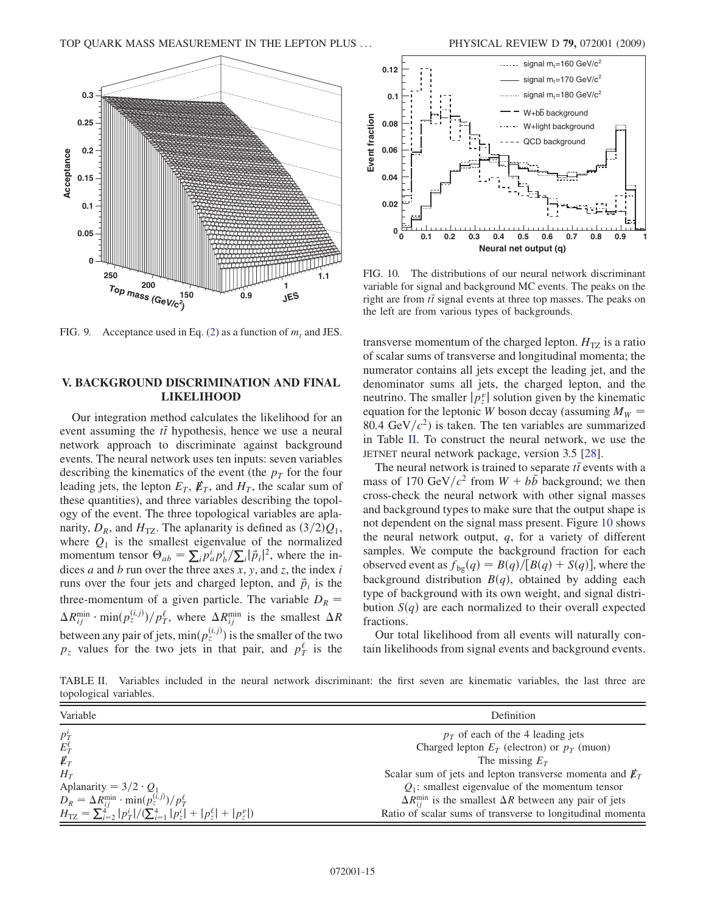<span id="page-17-0"></span>

FIG. 9. Acceptance used in Eq. [\(2\)](#page-12-0) as a function of  $m_t$  and JES.

### V. BACKGROUND DISCRIMINATION AND FINAL LIKELIHOOD

Our integration method calculates the likelihood for an event assuming the  $t\bar{t}$  hypothesis, hence we use a neural network approach to discriminate against background events. The neural network uses ten inputs: seven variables describing the kinematics of the event (the  $p<sub>T</sub>$  for the four leading jets, the lepton  $E_T$ ,  $\rlap{\,/}E_T$ , and  $H_T$ , the scalar sum of these quantities), and three variables describing the topology of the event. The three topological variables are aplanarity,  $D_R$ , and  $H_{TZ}$ . The aplanarity is defined as  $(3/2)Q_1$ , where  $Q_1$  is the smallest eigenvalue of the normalized momentum tensor  $\Theta_{ab} = \sum_i p_a^i p_b^i / \sum_i |\vec{p}_i|^2$ , where the indices  $a$  and  $b$  run over the three axes  $x$ ,  $y$ , and  $z$ , the index  $i$ runs over the four jets and charged lepton, and  $\vec{p}_i$  is the three-momentum of a given particle. The variable  $D_R =$  $\Delta R_{ij}^{\min} \cdot \min(p_z^{(i,j)})/p_T^{\ell}$ , where  $\Delta R_{ij}^{\min}$  is the smallest  $\Delta R$ between any pair of jets,  $min(p_z^{(i,j)})$  is the smaller of the two  $p_z$  values for the two jets in that pair, and  $p_T^{\ell}$  is the



FIG. 10. The distributions of our neural network discriminant variable for signal and background MC events. The peaks on the right are from  $t\bar{t}$  signal events at three top masses. The peaks on the left are from various types of backgrounds.

transverse momentum of the charged lepton.  $H_{TZ}$  is a ratio of scalar sums of transverse and longitudinal momenta; the numerator contains all jets except the leading jet, and the denominator sums all jets, the charged lepton, and the neutrino. The smaller  $|p_z^{\nu}|$  solution given by the kinematic equation for the leptonic W boson decay (assuming  $M_W =$ 80.4 GeV/ $c^2$ ) is taken. The ten variables are summarized in Table II. To construct the neural network, we use the JETNET neural network package, version 3.5 [\[28\]](#page-25-0).

The neural network is trained to separate  $t\bar{t}$  events with a mass of 170 GeV/ $c^2$  from  $W + b\bar{b}$  background; we then cross-check the neural network with other signal masses and background types to make sure that the output shape is not dependent on the signal mass present. Figure 10 shows the neural network output,  $q$ , for a variety of different samples. We compute the background fraction for each observed event as  $f_{bg}(q) = B(q)/[B(q) + S(q)]$ , where the background distribution  $B(q)$ , obtained by adding each type of background with its own weight, and signal distribution  $S(q)$  are each normalized to their overall expected fractions.

Our total likelihood from all events will naturally contain likelihoods from signal events and background events.

TABLE II. Variables included in the neural network discriminant: the first seven are kinematic variables, the last three are topological variables.

| Variable                                                                                                 | Definition                                                                       |
|----------------------------------------------------------------------------------------------------------|----------------------------------------------------------------------------------|
| $p_T^i$                                                                                                  | $p_T$ of each of the 4 leading jets                                              |
| $E_T^{\ell}$                                                                                             | Charged lepton $E_T$ (electron) or $p_T$ (muon)                                  |
| $\not\hspace{-1.2mm}E_{T}$                                                                               | The missing $E_T$                                                                |
| $H_T$                                                                                                    | Scalar sum of jets and lepton transverse momenta and $\not\hspace{-.15cm}/_{T}$  |
|                                                                                                          | $Q_1$ : smallest eigenvalue of the momentum tensor                               |
| Aplanarity = $3/2 \cdot Q_1$<br>$D_R = \Delta R_{ij}^{\min} \cdot \min(p_z^{(i,j)})/p_T^{\ell}$          | $\Delta R_{ii}^{\text{min}}$ is the smallest $\Delta R$ between any pair of jets |
| $H_{\text{TZ}} = \sum_{i=2}^{4^{\circ}}  p_T^i  / (\sum_{i=1}^{4}  p_z^i  +  p_z^{\ell}  +  p_z^{\nu} )$ | Ratio of scalar sums of transverse to longitudinal momenta                       |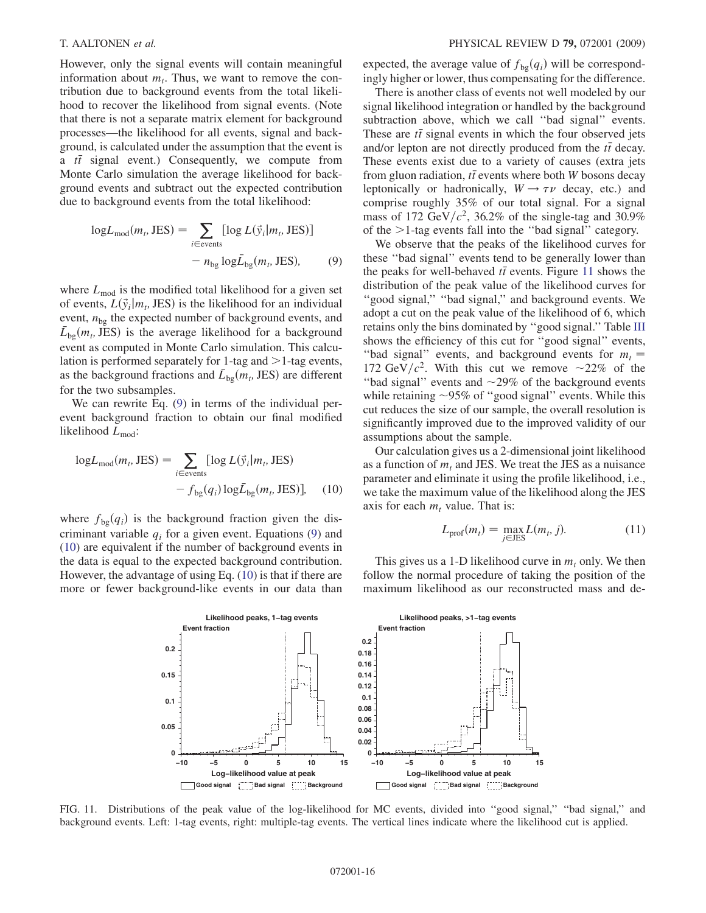<span id="page-18-0"></span>However, only the signal events will contain meaningful information about  $m_t$ . Thus, we want to remove the contribution due to background events from the total likelihood to recover the likelihood from signal events. (Note that there is not a separate matrix element for background processes—the likelihood for all events, signal and background, is calculated under the assumption that the event is a  $t\bar{t}$  signal event.) Consequently, we compute from Monte Carlo simulation the average likelihood for background events and subtract out the expected contribution due to background events from the total likelihood:

$$
logL_{mod}(m_t, JES) = \sum_{i \in events} [log L(\vec{y}_i | m_t, JES)] - n_{bg} log \bar{L}_{bg}(m_t, JES), \qquad (9)
$$

where  $L_{\text{mod}}$  is the modified total likelihood for a given set of events,  $L(\vec{y}_i|m_t, JES)$  is the likelihood for an individual event,  $n_{bg}$  the expected number of background events, and  $\bar{L}_{bg}(m_t, JES)$  is the average likelihood for a background event as computed in Monte Carlo simulation. This calculation is performed separately for 1-tag and >1-tag events, as the background fractions and  $\bar{L}_{bg}(m_t, \text{JES})$  are different for the two subsamples.

We can rewrite Eq. (9) in terms of the individual perevent background fraction to obtain our final modified likelihood  $L_{mod}$ :

$$
\log L_{\text{mod}}(m_t, \text{JES}) = \sum_{i \in \text{events}} [\log L(\vec{y}_i | m_t, \text{JES}) - f_{\text{bg}}(q_i) \log \bar{L}_{\text{bg}}(m_t, \text{JES})], \quad (10)
$$

where  $f_{bg}(q_i)$  is the background fraction given the discriminant variable  $q_i$  for a given event. Equations (9) and (10) are equivalent if the number of background events in the data is equal to the expected background contribution. However, the advantage of using Eq. (10) is that if there are more or fewer background-like events in our data than expected, the average value of  $f_{\text{bg}}(q_i)$  will be correspondingly higher or lower, thus compensating for the difference.

There is another class of events not well modeled by our signal likelihood integration or handled by the background subtraction above, which we call ''bad signal'' events. These are  $t\bar{t}$  signal events in which the four observed jets and/or lepton are not directly produced from the  $t\bar{t}$  decay. These events exist due to a variety of causes (extra jets from gluon radiation,  $t\bar{t}$  events where both W bosons decay leptonically or hadronically,  $W \rightarrow \tau \nu$  decay, etc.) and comprise roughly 35% of our total signal. For a signal mass of 172 GeV/ $c^2$ , 36.2% of the single-tag and 30.9% of the  $>1$ -tag events fall into the "bad signal" category.

We observe that the peaks of the likelihood curves for these ''bad signal'' events tend to be generally lower than the peaks for well-behaved  $t\bar{t}$  events. Figure 11 shows the distribution of the peak value of the likelihood curves for "good signal," "bad signal," and background events. We adopt a cut on the peak value of the likelihood of 6, which retains only the bins dominated by ''good signal.'' Table [III](#page-19-0) shows the efficiency of this cut for ''good signal'' events, "bad signal" events, and background events for  $m_t$  = 172 GeV/ $c^2$ . With this cut we remove  $\sim$ 22% of the "bad signal" events and  $\sim$ 29% of the background events while retaining  $\sim$ 95% of "good signal" events. While this cut reduces the size of our sample, the overall resolution is significantly improved due to the improved validity of our assumptions about the sample.

Our calculation gives us a 2-dimensional joint likelihood as a function of  $m<sub>t</sub>$  and JES. We treat the JES as a nuisance parameter and eliminate it using the profile likelihood, i.e., we take the maximum value of the likelihood along the JES axis for each  $m_t$  value. That is:

$$
L_{\text{prof}}(m_t) = \max_{j \in \text{JES}} L(m_t, j). \tag{11}
$$

This gives us a 1-D likelihood curve in  $m_t$  only. We then follow the normal procedure of taking the position of the maximum likelihood as our reconstructed mass and de-



FIG. 11. Distributions of the peak value of the log-likelihood for MC events, divided into "good signal," "bad signal," and background events. Left: 1-tag events, right: multiple-tag events. The vertical lines indicate where the likelihood cut is applied.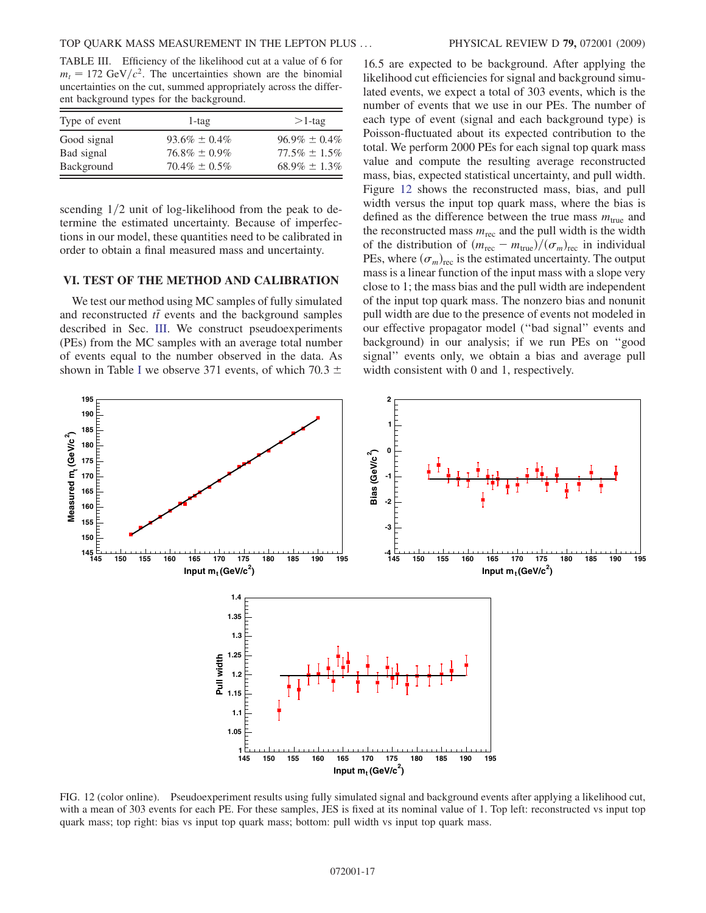<span id="page-19-0"></span>TABLE III. Efficiency of the likelihood cut at a value of 6 for  $m_t = 172 \text{ GeV}/c^2$ . The uncertainties shown are the binomial uncertainties on the cut, summed appropriately across the different background types for the background.

| Type of event | 1-tag              | $>1$ -tag          |
|---------------|--------------------|--------------------|
| Good signal   | $93.6\% \pm 0.4\%$ | $96.9\% \pm 0.4\%$ |
| Bad signal    | $76.8\% \pm 0.9\%$ | $77.5\% \pm 1.5\%$ |
| Background    | $70.4\% \pm 0.5\%$ | $68.9\% \pm 1.3\%$ |

scending  $1/2$  unit of log-likelihood from the peak to determine the estimated uncertainty. Because of imperfections in our model, these quantities need to be calibrated in order to obtain a final measured mass and uncertainty.

### VI. TEST OF THE METHOD AND CALIBRATION

We test our method using MC samples of fully simulated and reconstructed  $t\bar{t}$  events and the background samples described in Sec. III. We construct pseudoexperiments (PEs) from the MC samples with an average total number of events equal to the number observed in the data. As shown in Table [I](#page-10-0) we observe 371 events, of which 70.3  $\pm$  16:5 are expected to be background. After applying the likelihood cut efficiencies for signal and background simulated events, we expect a total of 303 events, which is the number of events that we use in our PEs. The number of each type of event (signal and each background type) is Poisson-fluctuated about its expected contribution to the total. We perform 2000 PEs for each signal top quark mass value and compute the resulting average reconstructed mass, bias, expected statistical uncertainty, and pull width. Figure 12 shows the reconstructed mass, bias, and pull width versus the input top quark mass, where the bias is defined as the difference between the true mass  $m_{\text{true}}$  and the reconstructed mass  $m_{\text{rec}}$  and the pull width is the width of the distribution of  $(m_{\text{rec}} - m_{\text{true}})/(\sigma_m)_{\text{rec}}$  in individual PEs, where  $(\sigma_m)_{\text{rec}}$  is the estimated uncertainty. The output mass is a linear function of the input mass with a slope very close to 1; the mass bias and the pull width are independent of the input top quark mass. The nonzero bias and nonunit pull width are due to the presence of events not modeled in our effective propagator model (''bad signal'' events and background) in our analysis; if we run PEs on ''good signal'' events only, we obtain a bias and average pull width consistent with 0 and 1, respectively.



FIG. 12 (color online). Pseudoexperiment results using fully simulated signal and background events after applying a likelihood cut, with a mean of 303 events for each PE. For these samples, JES is fixed at its nominal value of 1. Top left: reconstructed vs input top quark mass; top right: bias vs input top quark mass; bottom: pull width vs input top quark mass.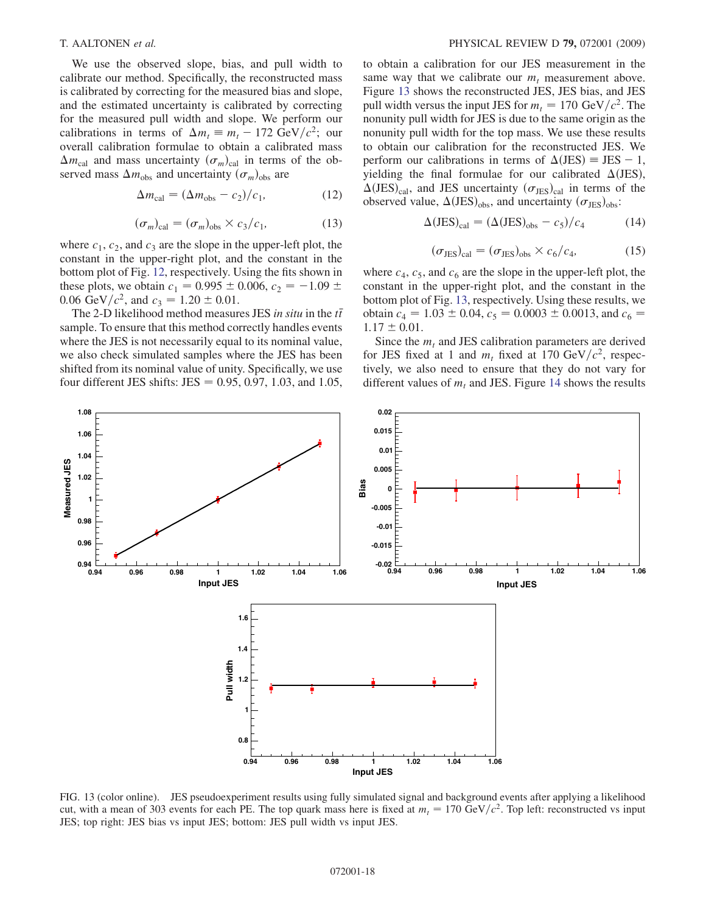We use the observed slope, bias, and pull width to calibrate our method. Specifically, the reconstructed mass is calibrated by correcting for the measured bias and slope, and the estimated uncertainty is calibrated by correcting for the measured pull width and slope. We perform our calibrations in terms of  $\Delta m_t \equiv m_t - 172 \text{ GeV}/c^2$ ; our overall calibration formulae to obtain a calibrated mass  $\Delta m_{\text{cal}}$  and mass uncertainty  $(\sigma_m)_{\text{cal}}$  in terms of the observed mass  $\Delta m_{\rm obs}$  and uncertainty  $(\sigma_m)_{\rm obs}$  are

$$
\Delta m_{\text{cal}} = (\Delta m_{\text{obs}} - c_2) / c_1,\tag{12}
$$

$$
(\sigma_m)_{\text{cal}} = (\sigma_m)_{\text{obs}} \times c_3 / c_1,\tag{13}
$$

where  $c_1$ ,  $c_2$ , and  $c_3$  are the slope in the upper-left plot, the constant in the upper-right plot, and the constant in the bottom plot of Fig. [12,](#page-19-0) respectively. Using the fits shown in these plots, we obtain  $c_1 = 0.995 \pm 0.006$ ,  $c_2 = -1.09 \pm 0.006$ 0.06 GeV/ $c^2$ , and  $c_3 = 1.20 \pm 0.01$ .

The 2-D likelihood method measures JES in situ in the  $t\bar{t}$ sample. To ensure that this method correctly handles events where the JES is not necessarily equal to its nominal value, we also check simulated samples where the JES has been shifted from its nominal value of unity. Specifically, we use four different JES shifts: JES =  $0.95, 0.97, 1.03,$  and 1.05, to obtain a calibration for our JES measurement in the same way that we calibrate our  $m_t$  measurement above. Figure 13 shows the reconstructed JES, JES bias, and JES pull width versus the input JES for  $m_t = 170 \text{ GeV}/c^2$ . The nonunity pull width for JES is due to the same origin as the nonunity pull width for the top mass. We use these results to obtain our calibration for the reconstructed JES. We perform our calibrations in terms of  $\Delta(\text{JES}) = \text{JES} - 1$ , yielding the final formulae for our calibrated  $\Delta$ (JES),  $\Delta$ (JES)<sub>cal</sub>, and JES uncertainty ( $\sigma_{\text{JES}}$ )<sub>cal</sub> in terms of the observed value,  $\Delta(\text{JES})_{\text{obs}}$ , and uncertainty  $(\sigma_{\text{JES}})_{\text{obs}}$ :

$$
\Delta(\text{JES})_{\text{cal}} = (\Delta(\text{JES})_{\text{obs}} - c_5)/c_4 \tag{14}
$$

$$
(\sigma_{\text{JES}})_{\text{cal}} = (\sigma_{\text{JES}})_{\text{obs}} \times c_6/c_4, \tag{15}
$$

where  $c_4$ ,  $c_5$ , and  $c_6$  are the slope in the upper-left plot, the constant in the upper-right plot, and the constant in the bottom plot of Fig. 13, respectively. Using these results, we obtain  $c_4 = 1.03 \pm 0.04$ ,  $c_5 = 0.0003 \pm 0.0013$ , and  $c_6 =$  $1.17 \pm 0.01$ .

Since the  $m_t$  and JES calibration parameters are derived for JES fixed at 1 and  $m_t$  fixed at 170 GeV/ $c^2$ , respectively, we also need to ensure that they do not vary for different values of  $m<sub>t</sub>$  and JES. Figure [14](#page-21-0) shows the results



FIG. 13 (color online). JES pseudoexperiment results using fully simulated signal and background events after applying a likelihood cut, with a mean of 303 events for each PE. The top quark mass here is fixed at  $m_t = 170 \text{ GeV}/c^2$ . Top left: reconstructed vs input JES; top right: JES bias vs input JES; bottom: JES pull width vs input JES.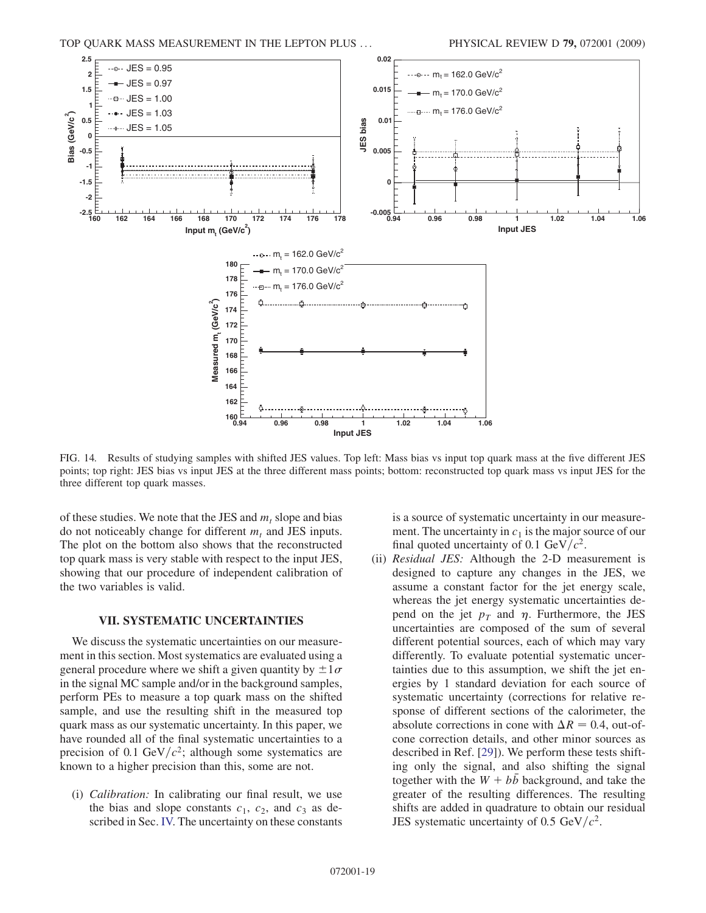<span id="page-21-0"></span>

FIG. 14. Results of studying samples with shifted JES values. Top left: Mass bias vs input top quark mass at the five different JES points; top right: JES bias vs input JES at the three different mass points; bottom: reconstructed top quark mass vs input JES for the three different top quark masses.

of these studies. We note that the JES and  $m_t$  slope and bias do not noticeably change for different  $m_t$  and JES inputs. The plot on the bottom also shows that the reconstructed top quark mass is very stable with respect to the input JES, showing that our procedure of independent calibration of the two variables is valid.

### VII. SYSTEMATIC UNCERTAINTIES

We discuss the systematic uncertainties on our measurement in this section. Most systematics are evaluated using a general procedure where we shift a given quantity by  $\pm 1\sigma$ in the signal MC sample and/or in the background samples, perform PEs to measure a top quark mass on the shifted sample, and use the resulting shift in the measured top quark mass as our systematic uncertainty. In this paper, we have rounded all of the final systematic uncertainties to a precision of 0.1 GeV/ $c^2$ ; although some systematics are known to a higher precision than this, some are not.

(i) Calibration: In calibrating our final result, we use the bias and slope constants  $c_1$ ,  $c_2$ , and  $c_3$  as described in Sec. IV. The uncertainty on these constants is a source of systematic uncertainty in our measurement. The uncertainty in  $c_1$  is the major source of our final quoted uncertainty of 0.1 GeV/ $c^2$ .

(ii) Residual JES: Although the 2-D measurement is designed to capture any changes in the JES, we assume a constant factor for the jet energy scale, whereas the jet energy systematic uncertainties depend on the jet  $p_T$  and  $\eta$ . Furthermore, the JES uncertainties are composed of the sum of several different potential sources, each of which may vary differently. To evaluate potential systematic uncertainties due to this assumption, we shift the jet energies by 1 standard deviation for each source of systematic uncertainty (corrections for relative response of different sections of the calorimeter, the absolute corrections in cone with  $\Delta R = 0.4$ , out-ofcone correction details, and other minor sources as described in Ref. [[29](#page-25-0)]). We perform these tests shifting only the signal, and also shifting the signal together with the  $W + b\bar{b}$  background, and take the greater of the resulting differences. The resulting shifts are added in quadrature to obtain our residual JES systematic uncertainty of 0.5 GeV/ $c^2$ .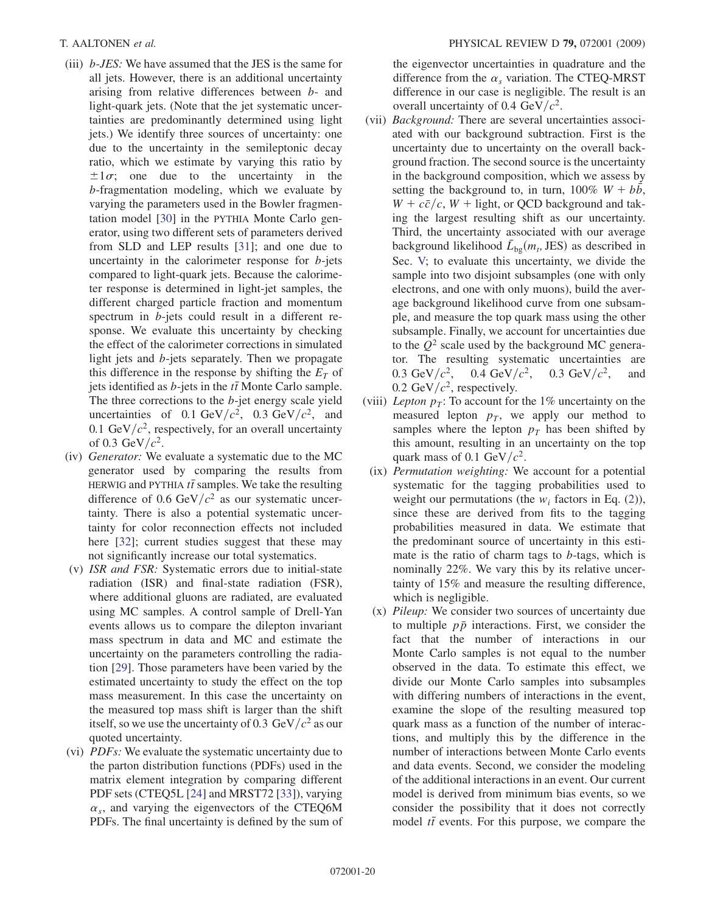- (iii) b-JES: We have assumed that the JES is the same for all jets. However, there is an additional uncertainty arising from relative differences between b- and light-quark jets. (Note that the jet systematic uncertainties are predominantly determined using light jets.) We identify three sources of uncertainty: one due to the uncertainty in the semileptonic decay ratio, which we estimate by varying this ratio by  $\pm 1\sigma$ ; one due to the uncertainty in the b-fragmentation modeling, which we evaluate by varying the parameters used in the Bowler fragmentation model [[30](#page-25-0)] in the PYTHIA Monte Carlo generator, using two different sets of parameters derived from SLD and LEP results [[31](#page-25-0)]; and one due to uncertainty in the calorimeter response for  $b$ -jets compared to light-quark jets. Because the calorimeter response is determined in light-jet samples, the different charged particle fraction and momentum spectrum in b-jets could result in a different response. We evaluate this uncertainty by checking the effect of the calorimeter corrections in simulated light jets and b-jets separately. Then we propagate this difference in the response by shifting the  $E<sub>T</sub>$  of jets identified as  $b$ -jets in the  $t\bar{t}$  Monte Carlo sample. The three corrections to the b-jet energy scale yield uncertainties of 0.1 GeV/ $c^2$ , 0.3 GeV/ $c^2$ , and 0.1 GeV/ $c^2$ , respectively, for an overall uncertainty of 0.3 GeV/ $c^2$ .
- (iv) Generator: We evaluate a systematic due to the MC generator used by comparing the results from HERWIG and PYTHIA  $t\bar{t}$  samples. We take the resulting difference of 0.6 GeV/ $c<sup>2</sup>$  as our systematic uncertainty. There is also a potential systematic uncertainty for color reconnection effects not included here [\[32\]](#page-25-0); current studies suggest that these may not significantly increase our total systematics.
- (v) ISR and FSR: Systematic errors due to initial-state radiation (ISR) and final-state radiation (FSR), where additional gluons are radiated, are evaluated using MC samples. A control sample of Drell-Yan events allows us to compare the dilepton invariant mass spectrum in data and MC and estimate the uncertainty on the parameters controlling the radiation [\[29\]](#page-25-0). Those parameters have been varied by the estimated uncertainty to study the effect on the top mass measurement. In this case the uncertainty on the measured top mass shift is larger than the shift itself, so we use the uncertainty of 0.3 GeV/ $c^2$  as our quoted uncertainty.
- (vi) PDFs: We evaluate the systematic uncertainty due to the parton distribution functions (PDFs) used in the matrix element integration by comparing different PDF sets (CTEQ5L [\[24\]](#page-25-0) and MRST72 [\[33](#page-25-0)]), varying  $\alpha_s$ , and varying the eigenvectors of the CTEQ6M PDFs. The final uncertainty is defined by the sum of

the eigenvector uncertainties in quadrature and the difference from the  $\alpha_s$  variation. The CTEQ-MRST difference in our case is negligible. The result is an overall uncertainty of 0.4 GeV/ $c^2$ .

- (vii) Background: There are several uncertainties associated with our background subtraction. First is the uncertainty due to uncertainty on the overall background fraction. The second source is the uncertainty in the background composition, which we assess by setting the background to, in turn,  $100\% W + b\bar{b}$ ,  $W + c\bar{c}/c$ ,  $W$  + light, or QCD background and taking the largest resulting shift as our uncertainty. Third, the uncertainty associated with our average background likelihood  $\bar{L}_{bg}(m_t, JES)$  as described in Sec. V; to evaluate this uncertainty, we divide the sample into two disjoint subsamples (one with only electrons, and one with only muons), build the average background likelihood curve from one subsample, and measure the top quark mass using the other subsample. Finally, we account for uncertainties due to the  $Q^2$  scale used by the background MC generator. The resulting systematic uncertainties are 0.3 GeV/ $c^2$ , 0.4 GeV/ $c^2$ , 0.3 GeV/ $c^2$ , and 0.2 GeV/ $c^2$ , respectively.
- (viii) Lepton  $p<sub>T</sub>$ : To account for the 1% uncertainty on the measured lepton  $p<sub>T</sub>$ , we apply our method to samples where the lepton  $p_T$  has been shifted by this amount, resulting in an uncertainty on the top quark mass of 0.1 GeV/ $c^2$ .
- (ix) Permutation weighting: We account for a potential systematic for the tagging probabilities used to weight our permutations (the  $w_i$  factors in Eq. [\(2](#page-12-0))), since these are derived from fits to the tagging probabilities measured in data. We estimate that the predominant source of uncertainty in this estimate is the ratio of charm tags to b-tags, which is nominally 22%. We vary this by its relative uncertainty of 15% and measure the resulting difference, which is negligible.
- (x) Pileup: We consider two sources of uncertainty due to multiple  $p\bar{p}$  interactions. First, we consider the fact that the number of interactions in our Monte Carlo samples is not equal to the number observed in the data. To estimate this effect, we divide our Monte Carlo samples into subsamples with differing numbers of interactions in the event, examine the slope of the resulting measured top quark mass as a function of the number of interactions, and multiply this by the difference in the number of interactions between Monte Carlo events and data events. Second, we consider the modeling of the additional interactions in an event. Our current model is derived from minimum bias events, so we consider the possibility that it does not correctly model  $t\bar{t}$  events. For this purpose, we compare the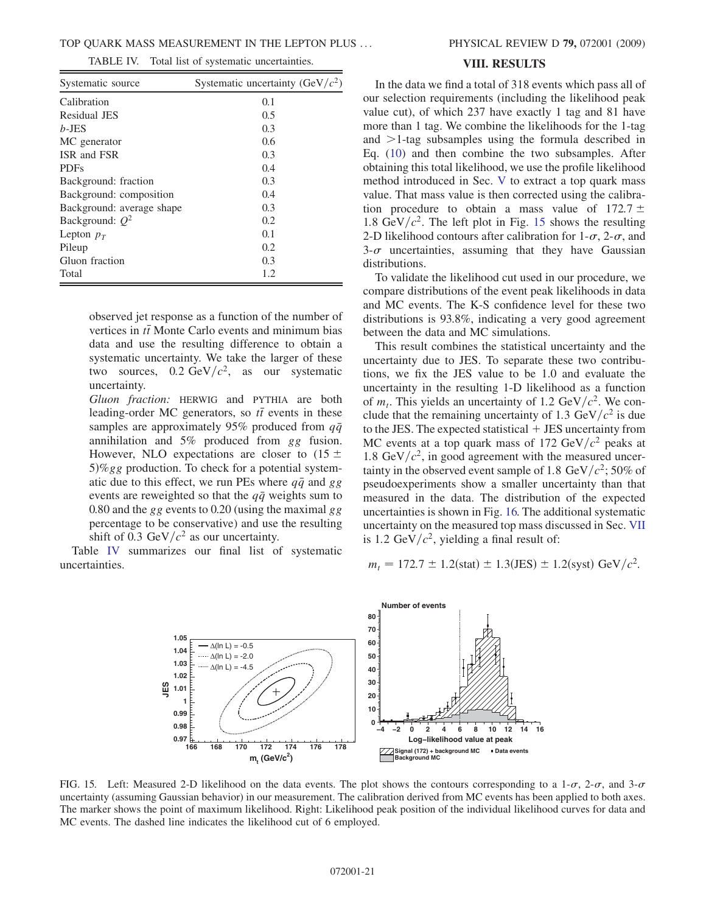| <b>TABLE IV.</b> |  |  |  | Total list of systematic uncertainties. |
|------------------|--|--|--|-----------------------------------------|
|------------------|--|--|--|-----------------------------------------|

| Systematic source         | Systematic uncertainty $(GeV/c2)$ |  |  |
|---------------------------|-----------------------------------|--|--|
| Calibration               | 0.1                               |  |  |
| Residual JES              | 0.5                               |  |  |
| $b$ -JES                  | 0.3                               |  |  |
| MC generator              | 0.6                               |  |  |
| ISR and FSR               | 0.3                               |  |  |
| <b>PDFs</b>               | 0.4                               |  |  |
| Background: fraction      | 0.3                               |  |  |
| Background: composition   | 0.4                               |  |  |
| Background: average shape | 0.3                               |  |  |
| Background: $Q^2$         | 0.2                               |  |  |
| Lepton $p_T$              | 0.1                               |  |  |
| Pileup                    | 0.2                               |  |  |
| Gluon fraction            | 0.3                               |  |  |
| Total                     | 1.2                               |  |  |

observed jet response as a function of the number of vertices in  $t\bar{t}$  Monte Carlo events and minimum bias data and use the resulting difference to obtain a systematic uncertainty. We take the larger of these two sources,  $0.2 \text{ GeV}/c^2$ , as our systematic uncertainty.

Gluon fraction: HERWIG and PYTHIA are both leading-order MC generators, so  $t\bar{t}$  events in these samples are approximately 95% produced from  $q\bar{q}$ annihilation and 5% produced from gg fusion. However, NLO expectations are closer to  $(15 \pm 1)$  $5\%gg$  production. To check for a potential systematic due to this effect, we run PEs where  $q\bar{q}$  and gg events are reweighted so that the  $q\bar{q}$  weights sum to 0.80 and the gg events to 0.20 (using the maximal gg percentage to be conservative) and use the resulting shift of 0.3 GeV/ $c^2$  as our uncertainty.

Table IV summarizes our final list of systematic uncertainties.

### VIII. RESULTS

In the data we find a total of 318 events which pass all of our selection requirements (including the likelihood peak value cut), of which 237 have exactly 1 tag and 81 have more than 1 tag. We combine the likelihoods for the 1-tag and >1-tag subsamples using the formula described in Eq. [\(10](#page-18-0)) and then combine the two subsamples. After obtaining this total likelihood, we use the profile likelihood method introduced in Sec. V to extract a top quark mass value. That mass value is then corrected using the calibration procedure to obtain a mass value of  $172.7 \pm 1.00$ 1.8 GeV/ $c^2$ . The left plot in Fig. 15 shows the resulting 2-D likelihood contours after calibration for  $1-\sigma$ ,  $2-\sigma$ , and  $3-\sigma$  uncertainties, assuming that they have Gaussian distributions.

To validate the likelihood cut used in our procedure, we compare distributions of the event peak likelihoods in data and MC events. The K-S confidence level for these two distributions is 93.8%, indicating a very good agreement between the data and MC simulations.

This result combines the statistical uncertainty and the uncertainty due to JES. To separate these two contributions, we fix the JES value to be 1.0 and evaluate the uncertainty in the resulting 1-D likelihood as a function of  $m_t$ . This yields an uncertainty of 1.2 GeV/ $c^2$ . We conclude that the remaining uncertainty of 1.3 GeV/ $c^2$  is due to the JES. The expected statistical  $+$  JES uncertainty from MC events at a top quark mass of 172 GeV/ $c^2$  peaks at 1.8 GeV/ $c^2$ , in good agreement with the measured uncertainty in the observed event sample of 1.8 GeV/ $c^2$ ; 50% of pseudoexperiments show a smaller uncertainty than that measured in the data. The distribution of the expected uncertainties is shown in Fig. [16.](#page-24-0) The additional systematic uncertainty on the measured top mass discussed in Sec. VII is 1.2 GeV/ $c^2$ , yielding a final result of:

$$
m_t = 172.7 \pm 1.2 \text{(stat)} \pm 1.3 \text{(JES)} \pm 1.2 \text{(syst)} \text{ GeV}/c^2.
$$



FIG. 15. Left: Measured 2-D likelihood on the data events. The plot shows the contours corresponding to a  $1-\sigma$ ,  $2-\sigma$ , and  $3-\sigma$ uncertainty (assuming Gaussian behavior) in our measurement. The calibration derived from MC events has been applied to both axes. The marker shows the point of maximum likelihood. Right: Likelihood peak position of the individual likelihood curves for data and MC events. The dashed line indicates the likelihood cut of 6 employed.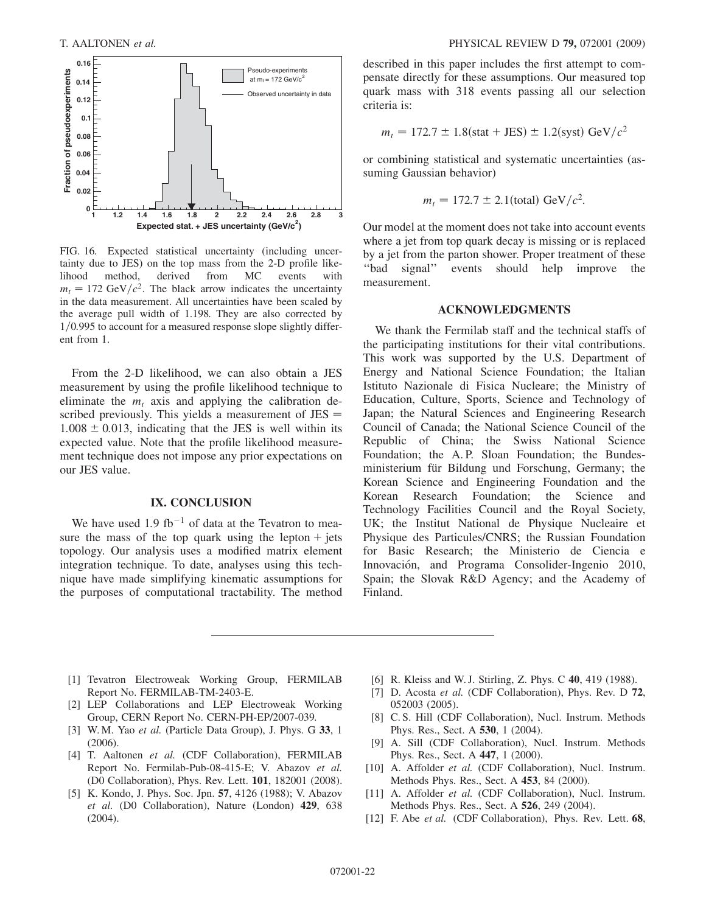<span id="page-24-0"></span>

FIG. 16. Expected statistical uncertainty (including uncertainty due to JES) on the top mass from the 2-D profile likelihood method, derived from MC events with  $m_t = 172 \text{ GeV}/c^2$ . The black arrow indicates the uncertainty in the data measurement. All uncertainties have been scaled by the average pull width of 1.198. They are also corrected by  $1/0.995$  to account for a measured response slope slightly different from 1.

From the 2-D likelihood, we can also obtain a JES measurement by using the profile likelihood technique to eliminate the  $m_t$  axis and applying the calibration described previously. This yields a measurement of  $JES =$  $1.008 \pm 0.013$ , indicating that the JES is well within its expected value. Note that the profile likelihood measurement technique does not impose any prior expectations on our JES value.

### IX. CONCLUSION

We have used 1.9 fb<sup>-1</sup> of data at the Tevatron to measure the mass of the top quark using the lepton  $+$  jets topology. Our analysis uses a modified matrix element integration technique. To date, analyses using this technique have made simplifying kinematic assumptions for the purposes of computational tractability. The method described in this paper includes the first attempt to compensate directly for these assumptions. Our measured top quark mass with 318 events passing all our selection criteria is:

$$
m_t = 172.7 \pm 1.8
$$
(stat + JES)  $\pm 1.2$ (syst) GeV/ $c^2$ 

or combining statistical and systematic uncertainties (assuming Gaussian behavior)

$$
m_t = 172.7 \pm 2.1 \text{(total)} \text{ GeV}/c^2.
$$

Our model at the moment does not take into account events where a jet from top quark decay is missing or is replaced by a jet from the parton shower. Proper treatment of these ''bad signal'' events should help improve the measurement.

### ACKNOWLEDGMENTS

We thank the Fermilab staff and the technical staffs of the participating institutions for their vital contributions. This work was supported by the U.S. Department of Energy and National Science Foundation; the Italian Istituto Nazionale di Fisica Nucleare; the Ministry of Education, Culture, Sports, Science and Technology of Japan; the Natural Sciences and Engineering Research Council of Canada; the National Science Council of the Republic of China; the Swiss National Science Foundation; the A. P. Sloan Foundation; the Bundesministerium für Bildung und Forschung, Germany; the Korean Science and Engineering Foundation and the Korean Research Foundation; the Science and Technology Facilities Council and the Royal Society, UK; the Institut National de Physique Nucleaire et Physique des Particules/CNRS; the Russian Foundation for Basic Research; the Ministerio de Ciencia e Innovación, and Programa Consolider-Ingenio 2010, Spain; the Slovak R&D Agency; and the Academy of Finland.

- [1] Tevatron Electroweak Working Group, FERMILAB Report No. FERMILAB-TM-2403-E.
- [2] LEP Collaborations and LEP Electroweak Working Group, CERN Report No. CERN-PH-EP/2007-039.
- [3] W. M. Yao et al. (Particle Data Group), J. Phys. G 33, 1 (2006).
- [4] T. Aaltonen et al. (CDF Collaboration), FERMILAB Report No. Fermilab-Pub-08-415-E; V. Abazov et al. (D0 Collaboration), Phys. Rev. Lett. 101, 182001 (2008).
- [5] K. Kondo, J. Phys. Soc. Jpn. 57, 4126 (1988); V. Abazov et al. (D0 Collaboration), Nature (London) 429, 638 (2004).
- [6] R. Kleiss and W. J. Stirling, Z. Phys. C 40, 419 (1988).
- [7] D. Acosta et al. (CDF Collaboration), Phys. Rev. D 72, 052003 (2005).
- [8] C. S. Hill (CDF Collaboration), Nucl. Instrum. Methods Phys. Res., Sect. A 530, 1 (2004).
- [9] A. Sill (CDF Collaboration), Nucl. Instrum. Methods Phys. Res., Sect. A 447, 1 (2000).
- [10] A. Affolder et al. (CDF Collaboration), Nucl. Instrum. Methods Phys. Res., Sect. A 453, 84 (2000).
- [11] A. Affolder et al. (CDF Collaboration), Nucl. Instrum. Methods Phys. Res., Sect. A 526, 249 (2004).
- [12] F. Abe et al. (CDF Collaboration), Phys. Rev. Lett. 68,